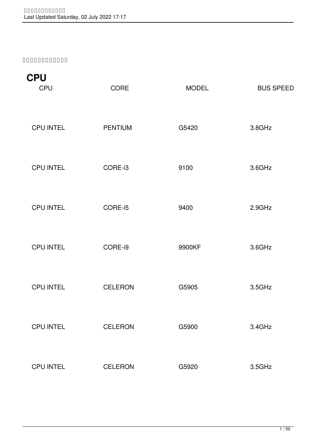**รายการสินค้า**

| <b>CPU</b><br><b>CPU</b> | <b>CORE</b>    | <b>MODEL</b> | <b>BUS SPEED</b> |
|--------------------------|----------------|--------------|------------------|
| <b>CPU INTEL</b>         | <b>PENTIUM</b> | G5420        | 3.8GHz           |
| <b>CPU INTEL</b>         | CORE-i3        | 9100         | 3.6GHz           |
| <b>CPU INTEL</b>         | CORE-i5        | 9400         | 2.9GHz           |
| <b>CPU INTEL</b>         | CORE-i9        | 9900KF       | 3.6GHz           |
| <b>CPU INTEL</b>         | <b>CELERON</b> | G5905        | 3.5GHz           |
| <b>CPU INTEL</b>         | <b>CELERON</b> | G5900        | 3.4GHz           |
| <b>CPU INTEL</b>         | <b>CELERON</b> | G5920        | 3.5GHz           |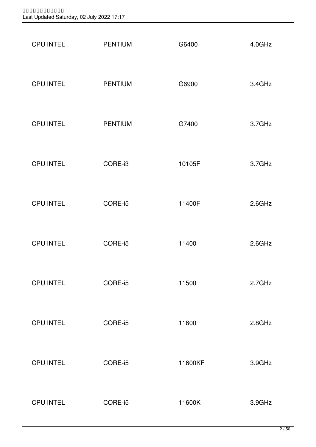| <b>CPU INTEL</b> | <b>PENTIUM</b> | G6400   | 4.0GHz |
|------------------|----------------|---------|--------|
| <b>CPU INTEL</b> | <b>PENTIUM</b> | G6900   | 3.4GHz |
| <b>CPU INTEL</b> | <b>PENTIUM</b> | G7400   | 3.7GHz |
| <b>CPU INTEL</b> | CORE-i3        | 10105F  | 3.7GHz |
| <b>CPU INTEL</b> | CORE-i5        | 11400F  | 2.6GHz |
| <b>CPU INTEL</b> | CORE-i5        | 11400   | 2.6GHz |
| <b>CPU INTEL</b> | CORE-i5        | 11500   | 2.7GHz |
| <b>CPU INTEL</b> | CORE-i5        | 11600   | 2.8GHz |
| <b>CPU INTEL</b> | CORE-i5        | 11600KF | 3.9GHz |
| <b>CPU INTEL</b> | CORE-i5        | 11600K  | 3.9GHz |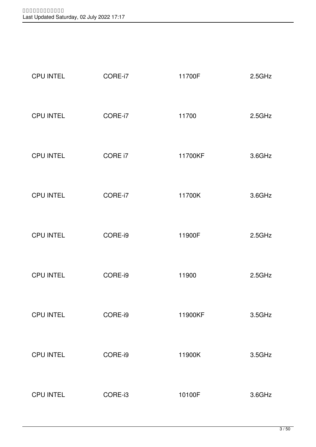| <b>CPU INTEL</b> | CORE-i7 | 11700F  | 2.5GHz |
|------------------|---------|---------|--------|
| <b>CPU INTEL</b> | CORE-i7 | 11700   | 2.5GHz |
| <b>CPU INTEL</b> | CORE i7 | 11700KF | 3.6GHz |
| <b>CPU INTEL</b> | CORE-i7 | 11700K  | 3.6GHz |
| <b>CPU INTEL</b> | CORE-i9 | 11900F  | 2.5GHz |
| <b>CPU INTEL</b> | CORE-i9 | 11900   | 2.5GHz |
| <b>CPU INTEL</b> | CORE-i9 | 11900KF | 3.5GHz |
| <b>CPU INTEL</b> | CORE-i9 | 11900K  | 3.5GHz |
| <b>CPU INTEL</b> | CORE-i3 | 10100F  | 3.6GHz |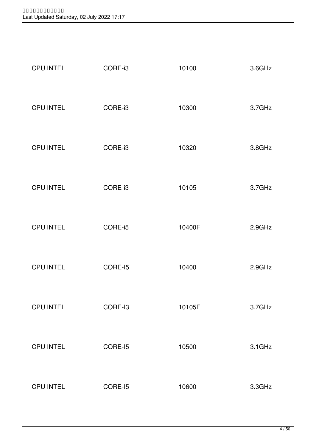| <b>CPU INTEL</b> | CORE-i3 | 10100  | 3.6GHz    |
|------------------|---------|--------|-----------|
| <b>CPU INTEL</b> | CORE-i3 | 10300  | 3.7GHz    |
| <b>CPU INTEL</b> | CORE-i3 | 10320  | 3.8GHz    |
| <b>CPU INTEL</b> | CORE-i3 | 10105  | 3.7GHz    |
| <b>CPU INTEL</b> | CORE-i5 | 10400F | 2.9GHz    |
| <b>CPU INTEL</b> | CORE-15 | 10400  | 2.9GHz    |
| <b>CPU INTEL</b> | CORE-I3 | 10105F | 3.7GHz    |
| <b>CPU INTEL</b> | CORE-15 | 10500  | $3.1$ GHz |
| <b>CPU INTEL</b> | CORE-15 | 10600  | 3.3GHz    |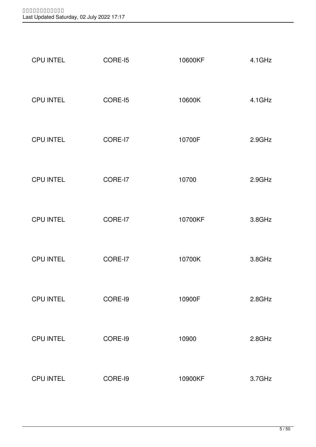| <b>CPU INTEL</b> | CORE-15 | 10600KF | 4.1GHz |
|------------------|---------|---------|--------|
| <b>CPU INTEL</b> | CORE-15 | 10600K  | 4.1GHz |
| <b>CPU INTEL</b> | CORE-I7 | 10700F  | 2.9GHz |
| <b>CPU INTEL</b> | CORE-I7 | 10700   | 2.9GHz |
| <b>CPU INTEL</b> | CORE-I7 | 10700KF | 3.8GHz |
| <b>CPU INTEL</b> | CORE-I7 | 10700K  | 3.8GHz |
| <b>CPU INTEL</b> | CORE-I9 | 10900F  | 2.8GHz |
| <b>CPU INTEL</b> | CORE-19 | 10900   | 2.8GHz |
| <b>CPU INTEL</b> | CORE-I9 | 10900KF | 3.7GHz |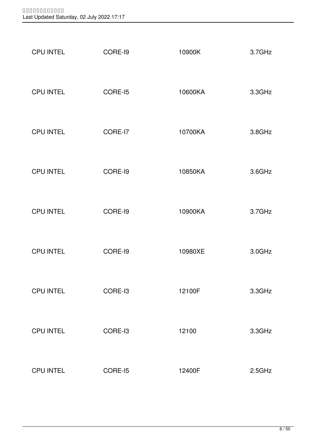| <b>CPU INTEL</b> | CORE-I9 | 10900K  | 3.7GHz |
|------------------|---------|---------|--------|
| <b>CPU INTEL</b> | CORE-15 | 10600KA | 3.3GHz |
| <b>CPU INTEL</b> | CORE-I7 | 10700KA | 3.8GHz |
| <b>CPU INTEL</b> | CORE-I9 | 10850KA | 3.6GHz |
| <b>CPU INTEL</b> | CORE-I9 | 10900KA | 3.7GHz |
| <b>CPU INTEL</b> | CORE-I9 | 10980XE | 3.0GHz |
| <b>CPU INTEL</b> | CORE-I3 | 12100F  | 3.3GHz |
| <b>CPU INTEL</b> | CORE-I3 | 12100   | 3.3GHz |
| <b>CPU INTEL</b> | CORE-15 | 12400F  | 2.5GHz |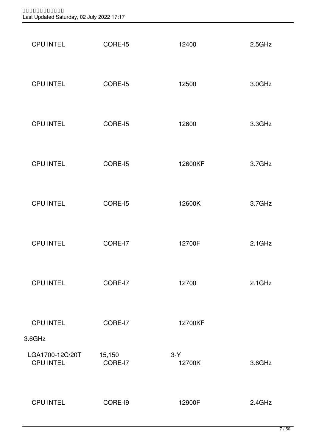| <b>CPU INTEL</b>             | CORE-15           | 12400           | 2.5GHz    |
|------------------------------|-------------------|-----------------|-----------|
| <b>CPU INTEL</b>             | CORE-15           | 12500           | 3.0GHz    |
| <b>CPU INTEL</b>             | CORE-15           | 12600           | 3.3GHz    |
| <b>CPU INTEL</b>             | CORE-15           | 12600KF         | 3.7GHz    |
| <b>CPU INTEL</b>             | CORE-15           | 12600K          | 3.7GHz    |
| <b>CPU INTEL</b>             | CORE-I7           | 12700F          | $2.1$ GHz |
| <b>CPU INTEL</b>             | CORE-I7           | 12700           | $2.1$ GHz |
| <b>CPU INTEL</b><br>3.6GHz   | CORE-I7           | 12700KF         |           |
| LGA1700-12C/20T<br>CPU INTEL | 15,150<br>CORE-I7 | $3-Y$<br>12700K | 3.6GHz    |
| <b>CPU INTEL</b>             | CORE-I9           | 12900F          | 2.4GHz    |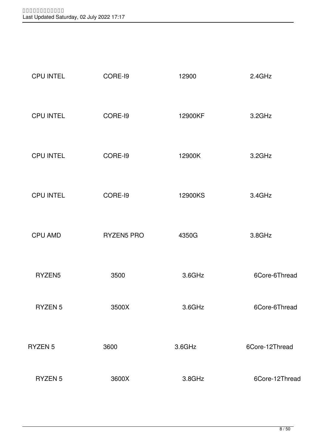| <b>CPU INTEL</b> | CORE-I9           | 12900   | 2.4GHz         |
|------------------|-------------------|---------|----------------|
| <b>CPU INTEL</b> | CORE-I9           | 12900KF | 3.2GHz         |
| <b>CPU INTEL</b> | CORE-I9           | 12900K  | 3.2GHz         |
| <b>CPU INTEL</b> | CORE-I9           | 12900KS | 3.4GHz         |
| <b>CPU AMD</b>   | <b>RYZEN5 PRO</b> | 4350G   | 3.8GHz         |
| RYZEN5           | 3500              | 3.6GHz  | 6Core-6Thread  |
| RYZEN 5          | 3500X             | 3.6GHz  | 6Core-6Thread  |
| RYZEN 5          | 3600              | 3.6GHz  | 6Core-12Thread |
| RYZEN 5          | 3600X             | 3.8GHz  | 6Core-12Thread |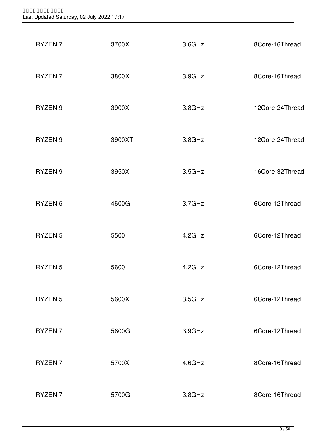| RYZEN <sub>7</sub> | 3700X  | 3.6GHz | 8Core-16Thread  |
|--------------------|--------|--------|-----------------|
| RYZEN <sub>7</sub> | 3800X  | 3.9GHz | 8Core-16Thread  |
| RYZEN <sub>9</sub> | 3900X  | 3.8GHz | 12Core-24Thread |
| RYZEN <sub>9</sub> | 3900XT | 3.8GHz | 12Core-24Thread |
| RYZEN 9            | 3950X  | 3.5GHz | 16Core-32Thread |
| <b>RYZEN 5</b>     | 4600G  | 3.7GHz | 6Core-12Thread  |
| RYZEN <sub>5</sub> | 5500   | 4.2GHz | 6Core-12Thread  |
| RYZEN <sub>5</sub> | 5600   | 4.2GHz | 6Core-12Thread  |
| RYZEN <sub>5</sub> | 5600X  | 3.5GHz | 6Core-12Thread  |
| RYZEN <sub>7</sub> | 5600G  | 3.9GHz | 6Core-12Thread  |
| RYZEN <sub>7</sub> | 5700X  | 4.6GHz | 8Core-16Thread  |
| RYZEN <sub>7</sub> | 5700G  | 3.8GHz | 8Core-16Thread  |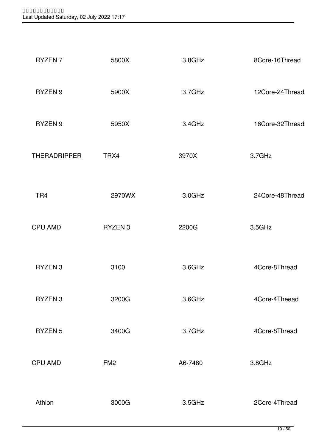| RYZEN <sub>7</sub>  | 5800X              | 3.8GHz  | 8Core-16Thread  |
|---------------------|--------------------|---------|-----------------|
| RYZEN <sub>9</sub>  | 5900X              | 3.7GHz  | 12Core-24Thread |
| RYZEN <sub>9</sub>  | 5950X              | 3.4GHz  | 16Core-32Thread |
| <b>THERADRIPPER</b> | TRX4               | 3970X   | 3.7GHz          |
| TR <sub>4</sub>     | 2970WX             | 3.0GHz  | 24Core-48Thread |
| <b>CPU AMD</b>      | RYZEN <sub>3</sub> | 2200G   | 3.5GHz          |
| RYZEN 3             | 3100               | 3.6GHz  | 4Core-8Thread   |
| RYZEN <sub>3</sub>  | 3200G              | 3.6GHz  | 4Core-4Theead   |
| <b>RYZEN 5</b>      | 3400G              | 3.7GHz  | 4Core-8Thread   |
| <b>CPU AMD</b>      | FM <sub>2</sub>    | A6-7480 | 3.8GHz          |
| Athlon              | 3000G              | 3.5GHz  | 2Core-4Thread   |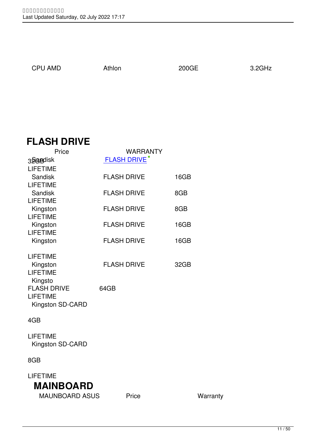$\overline{4}$ 

1,950

# **FLASH DRIVE**

| Price                                                     | WARRANTY           |      |
|-----------------------------------------------------------|--------------------|------|
| 32 a Bruisk                                               | <b>FLASH DRIVE</b> |      |
| <b>LIFETIME</b><br><b>Sandisk</b>                         | <b>FLASH DRIVE</b> | 16GB |
| <b>LIFETIME</b><br><b>Sandisk</b><br><b>LIFETIME</b>      | <b>FLASH DRIVE</b> | 8GB  |
| Kingston<br><b>LIFETIME</b>                               | <b>FLASH DRIVE</b> | 8GB  |
| Kingston<br><b>LIFETIME</b>                               | <b>FLASH DRIVE</b> | 16GB |
| Kingston                                                  | <b>FLASH DRIVE</b> | 16GB |
| <b>LIFETIME</b><br>Kingston<br><b>LIFETIME</b><br>Kingsto | <b>FLASH DRIVE</b> | 32GB |
| <b>FLASH DRIVE</b><br><b>LIFETIME</b><br>Kingston SD-CARD | 64GB               |      |
| 4GB                                                       |                    |      |
| <b>LIFETIME</b><br>Kingston SD-CARD                       |                    |      |
| 8GB                                                       |                    |      |
|                                                           |                    |      |

 LIFETIME **MAINBOARD** MAUNBOARD ASUS Price **Warranty**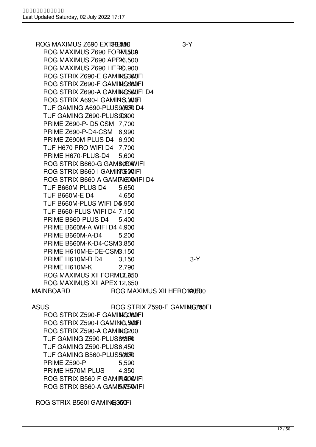ROG MAXIMUS Z690 EXTIREME 3-Y ROG MAXIMUS Z690 FORMUSDA ROG MAXIMUS Z690 APE26,500 ROG MAXIMUS Z690 HERO.900 ROG STRIX Z690-E GAMING3000FI ROG STRIX Z690-F GAMING 8000FI ROG STRIX Z690-A GAMING 5000FI D4 ROG STRIX A690-I GAMING WIFI TUF GAMING A690-PLUS 9,000 D4 TUF GAMING Z690-PLUS D300 PRIME Z690-P- D5 CSM 7,700 PRIME Z690-P-D4-CSM 6,990 PRIME Z690M-PLUS D4 6,900 TUF H670 PRO WIFI D4 7,700 PRIME H670-PLUS-D4 5,600 ROG STRIX B660-G GAMENGOWIFI ROG STRIX B660-I GAMING WIFI ROG STRIX B660-A GAMING WIFI D4 TUF B660M-PLUS D4 5,650 TUF B660M-E D4 4,650 TUF B660M-PLUS WIFI D4,950 TUF B660-PLUS WIFI D4 7,150 PRIME B660-PLUS D4 5,400 PRIME B660M-A WIFI D4 4,900 PRIME B660M-A-D4 5,200 PRIME B660M-K-D4-CSM 3,850 PRIME H610M-E-DE-CSM3,150 PRIME H610M-D D4 3.150 3-Y PRIME H610M-K 2,790 ROG MAXIMUS XII FORMULA50 ROG MAXIMUS XII APEX 12,650 MAINBOARD ROG MAXIMUS XII HERO 102,1500

ASUS ROG STRIX Z590-E GAMING3WUFI

ROG STRIX Z590-F GAMING OWNFI ROG STRIX Z590-I GAMING 500FI ROG STRIX Z590-A GAMING 200 TUF GAMING Z590-PLUS 8,0800 TUF GAMING Z590-PLUS6,450 TUF GAMING B560-PLUS 5,000 PRIME Z590-P 5,590 PRIME H570M-PLUS 4.350 ROG STRIX B560-F GAMING WIFI ROG STRIX B560-A GAMING WIFI

ROG STRIX B560I GAMING350Fi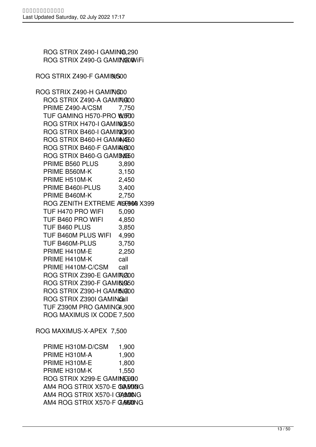ROG STRIX Z490-I GAMING 290 ROG STRIX Z490-G GAMING WIFI

ROG STRIX Z490-F GAMING 600

ROG STRIX Z490-H GAMING00 ROG STRIX Z490-A GAMING00 PRIME Z490-A/CSM 7,750 TUF GAMING H570-PRO WFOO ROG STRIX H470-I GAMING50 ROG STRIX B460-I GAMING 90 ROG STRIX B460-H GAMING 50 ROG STRIX B460-F GAMIAG00 ROG STRIX B460-G GAMING 50 PRIME B560 PLUS 3,890 PRIME B560M-K 3,150 PRIME H510M-K 2,450 PRIME B460I-PLUS 3,400 PRIME B460M-K 2,750 ROG ZENITH EXTREME ALGREGIO X399 TUF H470 PRO WIFI 5,090 TUF B460 PRO WIFI 4,850 TUF B460 PLUS 3,850 TUF B460M PLUS WIFI 4,990 TUF B460M-PLUS 3,750 PRIME H410M-E 2,250 PRIME H410M-K call PRIME H410M-C/CSM call ROG STRIX Z390-E GAMIN@00 ROG STRIX Z390-F GAMING50 ROG STRIX Z390-H GAMING00 ROG STRIX Z390I GAMINGall TUF Z390M PRO GAMING4,900 ROG MAXIMUS IX CODE 7,500 ROG MAXIMUS-X-APEX 7,500

 PRIME H310M-D/CSM 1,900 PRIME H310M-A 1,900 PRIME H310M-E 1,800 PRIME H310M-K 1,550 ROG STRIX X299-E GAMING 200 AM4 ROG STRIX X570-E GAMING AM4 ROG STRIX X570-I GAMMONG AM4 ROG STRIX X570-F GAMENING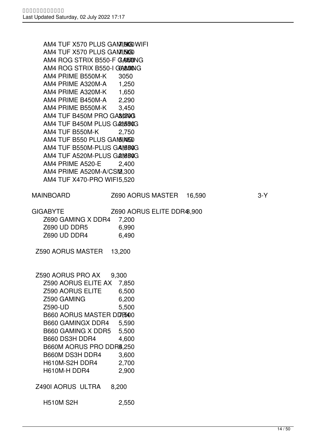AM4 TUF X570 PLUS GAMING WIFI AM4 TUF X570 PLUS GAMINGO AM4 ROG STRIX B550-F GAMENING AM4 ROG STRIX B550-I GGA&MONG AM4 PRIME B550M-K 3050 AM4 PRIME A320M-A 1,250 AM4 PRIME A320M-K 1,650 AM4 PRIME B450M-A 2,290 AM4 PRIME B550M-K 3,450 AM4 TUF B450M PRO GAMING AM4 TUF B450M PLUS GAMBOG AM4 TUF B550M-K 2,750 AM4 TUF B550 PLUS GAM5 INSSO AM4 TUF B550M-PLUS GAMBOG AM4 TUF A520M-PLUS GAMBOG AM4 PRIME A520-E 2,400 AM4 PRIME A520M-A/CSM2,300 AM4 TUF X470-PRO WIF15,520 MAINBOARD Z690 AORUS MASTER 16,590 3-Y GIGABYTE Z690 AORUS ELITE DDR48,900 Z690 GAMING X DDR4 7,200 Z690 UD DDR5 6,990 Z690 UD DDR4 6,490 Z590 AORUS MASTER 13,200 Z590 AORUS PRO AX 9,300 Z590 AORUS ELITE AX 7,850 Z590 AORUS ELITE 6,500 Z590 GAMING 6,200 Z590-UD 5,500 B660 AORUS MASTER DDR500 B660 GAMINGX DDR4 5,590 B660 GAMING X DDR5 5,500 B660 DS3H DDR4 4,600 B660M AORUS PRO DDR4,250 B660M DS3H DDR4 3,600 H610M-S2H DDR4 2,700 H610M-H DDR4 2,900 Z490I AORUS ULTRA 8,200 H510M S2H 2,550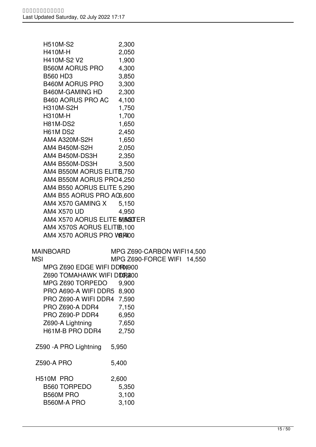| <b>H510M-S2</b>                    | 2,300                      |
|------------------------------------|----------------------------|
| H410M-H                            | 2,050                      |
| H410M-S2 V2                        | 1,900                      |
| <b>B560M AORUS PRO</b>             | 4,300                      |
| <b>B560 HD3</b>                    | 3,850                      |
| <b>B460M AORUS PRO</b>             | 3,300                      |
| B460M-GAMING HD                    | 2,300                      |
| B460 AORUS PRO AC                  | 4,100                      |
| <b>H310M-S2H</b>                   | 1,750                      |
| <b>H310M-H</b>                     | 1,700                      |
| <b>H81M-DS2</b>                    | 1,650                      |
| H61M DS2                           | 2,450                      |
| AM4 A320M-S2H                      | 1,650                      |
| AM4 B450M-S2H                      | 2,050                      |
| AM4 B450M-DS3H                     | 2,350                      |
| AM4 B550M-DS3H                     | 3,500                      |
| AM4 B550M AORUS ELITB, 750         |                            |
| AM4 B550M AORUS PRO4,250           |                            |
| AM4 B550 AORUS ELITE 5,290         |                            |
| AM4 B55 AORUS PRO A06,600          |                            |
| AM4 X570 GAMING X                  | 5,150                      |
| AM4 X570 UD                        | 4,950                      |
| AM4 X570 AORUS ELITE MASSUTER      |                            |
| AM4 X570S AORUS ELITEB, 100        |                            |
| AM4 X570 AORUS PRO WERHOO          |                            |
| <b>MAINBOARD</b>                   | MPG Z690-CARBON WIFI14,500 |
| <b>MSI</b>                         | MPG Z690-FORCE WIFI 14,550 |
| MPG Z690 EDGE WIFI DDR04900        |                            |
| Z690 TOMAHAWK WIFI D <b>DR2</b> 00 |                            |
| MPG Z690 TORPEDO                   | 9,900                      |
| PRO A690-A WIFI DDR5               | 8,900                      |
| PRO Z690-A WIFI DDR4               | 7,590                      |
| PRO Z690-A DDR4                    | 7,150                      |
| PRO Z690-P DDR4                    | 6,950                      |
| Z690-A Lightning                   | 7,650                      |
| H61M-B PRO DDR4                    | 2,750                      |
|                                    |                            |
| Z590 - A PRO Lightning             | 5,950                      |
|                                    |                            |
| <b>Z590-A PRO</b>                  | 5,400                      |
|                                    |                            |
| H510M PRO                          | 2,600                      |
| <b>B560 TORPEDO</b>                | 5,350                      |
| <b>B560M PRO</b>                   | 3,100                      |
| B560M-A PRO                        | 3,100                      |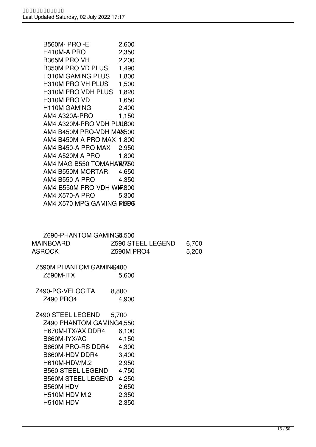| <b>B560M-PRO-E</b><br>H410M-A PRO<br>B365M PRO VH<br>B350M PRO VD PLUS<br><b>H310M GAMING PLUS</b><br>H310M PRO VH PLUS<br>H310M PRO VDH PLUS<br>H310M PRO VD<br>H110M GAMING<br><b>AM4 A320A-PRO</b><br>AM4 A320M-PRO VDH PLU800<br>AM4 B450M PRO-VDH MA2,500<br>AM4 B450M-A PRO MAX 1,800<br>AM4 B450-A PRO MAX<br>AM4 A520M A PRO<br>AM4 MAG B550 TOMAHAWK50<br>AM4 B550M-MORTAR<br><b>AM4 B550-A PRO</b><br>AM4-B550M PRO-VDH WIF, B00<br><b>AM4 X570-A PRO</b><br>AM4 X570 MPG GAMING PUSS | 2,600<br>2,350<br>2,200<br>1,490<br>1,800<br>1,500<br>1,820<br>1,650<br>2,400<br>1,150<br>2,950<br>1,800<br>4,650<br>4,350<br>5,300 |                |  |
|-------------------------------------------------------------------------------------------------------------------------------------------------------------------------------------------------------------------------------------------------------------------------------------------------------------------------------------------------------------------------------------------------------------------------------------------------------------------------------------------------|-------------------------------------------------------------------------------------------------------------------------------------|----------------|--|
| Z690-PHANTOM GAMING4,500<br><b>MAINBOARD</b><br><b>ASROCK</b>                                                                                                                                                                                                                                                                                                                                                                                                                                   | <b>Z590 STEEL LEGEND</b><br><b>Z590M PRO4</b>                                                                                       | 6,700<br>5,200 |  |
| Z590M PHANTOM GAMING400<br>Z590M-ITX                                                                                                                                                                                                                                                                                                                                                                                                                                                            | 5,600                                                                                                                               |                |  |
| Z490-PG-VELOCITA<br>Z490 PRO4                                                                                                                                                                                                                                                                                                                                                                                                                                                                   | 8,800<br>4,900                                                                                                                      |                |  |
| Z490 STEEL LEGEND<br>Z490 PHANTOM GAMING4,550<br>H670M-ITX/AX DDR4<br>B660M-IYX/AC<br>B660M PRO-RS DDR4<br>B660M-HDV DDR4<br>H610M-HDV/M.2<br><b>B560 STEEL LEGEND</b><br><b>B560M STEEL LEGEND</b><br>B560M HDV<br><b>H510M HDV M.2</b><br>H510M HDV                                                                                                                                                                                                                                           | 5,700<br>6,100<br>4,150<br>4,300<br>3,400<br>2,950<br>4,750<br>4,250<br>2,650<br>2,350<br>2,350                                     |                |  |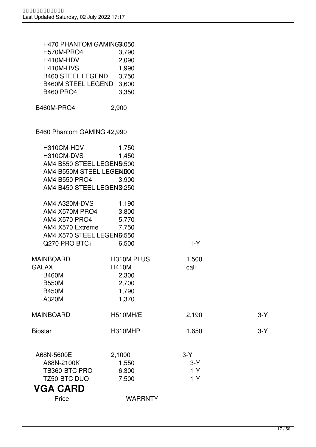| H470 PHANTOM GAMING3,050   |                |       |       |
|----------------------------|----------------|-------|-------|
| H570M-PRO4                 | 3,790          |       |       |
| H410M-HDV                  | 2,090          |       |       |
| H410M-HVS                  | 1,990          |       |       |
| <b>B460 STEEL LEGEND</b>   | 3,750          |       |       |
| B460M STEEL LEGEND 3,600   |                |       |       |
| <b>B460 PRO4</b>           | 3,350          |       |       |
|                            |                |       |       |
| <b>B460M-PRO4</b>          | 2,900          |       |       |
| B460 Phantom GAMING 42,990 |                |       |       |
|                            |                |       |       |
| H310CM-HDV                 | 1,750          |       |       |
| H310CM-DVS                 | 1,450          |       |       |
| AM4 B550 STEEL LEGEND,500  |                |       |       |
| AM4 B550M STEEL LEGEAND00  |                |       |       |
| AM4 B550 PRO4              | 3,900          |       |       |
| AM4 B450 STEEL LEGENB,250  |                |       |       |
| AM4 A320M-DVS              | 1,190          |       |       |
| AM4 X570M PRO4             | 3,800          |       |       |
| AM4 X570 PRO4              | 5,770          |       |       |
| AM4 X570 Extreme           | 7,750          |       |       |
| AM4 X570 STEEL LEGEND, 550 |                |       |       |
| Q270 PRO BTC+              | 6,500          | $1-Y$ |       |
| <b>MAINBOARD</b>           | H310M PLUS     | 1,500 |       |
| <b>GALAX</b>               | <b>H410M</b>   | call  |       |
| <b>B460M</b>               | 2,300          |       |       |
| <b>B550M</b>               | 2,700          |       |       |
| <b>B450M</b>               | 1,790          |       |       |
| A320M                      | 1,370          |       |       |
| <b>MAINBOARD</b>           | H510MH/E       | 2,190 | $3-Y$ |
| <b>Biostar</b>             | H310MHP        | 1,650 | $3-Y$ |
|                            |                |       |       |
| A68N-5600E                 | 2,1000         | $3-Y$ |       |
| A68N-2100K                 | 1,550          | $3-Y$ |       |
| TB360-BTC PRO              | 6,300          | $1-Y$ |       |
| TZ50-BTC DUO               | 7,500          | $1-Y$ |       |
| <b>VGA CARD</b>            |                |       |       |
| Price                      | <b>WARRNTY</b> |       |       |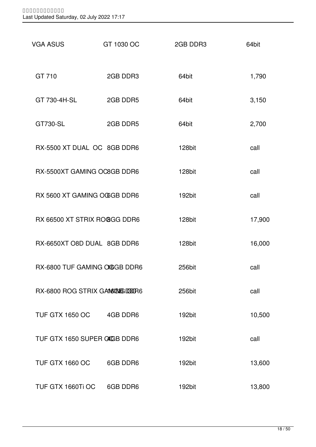| <b>VGA ASUS</b>                 | GT 1030 OC | 2GB DDR3 | 64bit  |
|---------------------------------|------------|----------|--------|
| GT 710                          | 2GB DDR3   | 64bit    | 1,790  |
| GT 730-4H-SL                    | 2GB DDR5   | 64bit    | 3,150  |
| GT730-SL                        | 2GB DDR5   | 64bit    | 2,700  |
| RX-5500 XT DUAL OC 8GB DDR6     |            | 128bit   | call   |
| RX-5500XT GAMING OC8GB DDR6     |            | 128bit   | call   |
| RX 5600 XT GAMING OGGB DDR6     |            | 192bit   | call   |
| RX 66500 XT STRIX ROOGG DDR6    |            | 128bit   | 17,900 |
| RX-6650XT O8D DUAL 8GB DDR6     |            | 128bit   | 16,000 |
| RX-6800 TUF GAMING OGGB DDR6    |            | 256bit   | call   |
| RX-6800 ROG STRIX GAMBIES DDDR6 |            | 256bit   | call   |
| TUF GTX 1650 OC 4GB DDR6        |            | 192bit   | 10,500 |
| TUF GTX 1650 SUPER CAGB DDR6    |            | 192bit   | call   |
| <b>TUF GTX 1660 OC</b>          | 6GB DDR6   | 192bit   | 13,600 |
| TUF GTX 1660Ti OC               | 6GB DDR6   | 192bit   | 13,800 |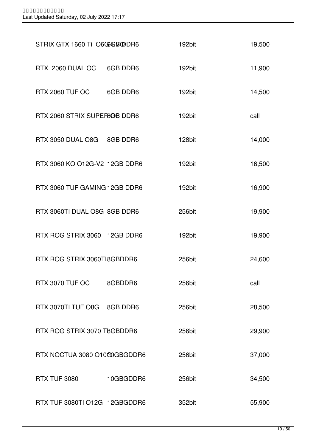| STRIX GTX 1660 Ti O6GGEBODR6  |           | 192bit | 19,500 |
|-------------------------------|-----------|--------|--------|
| RTX 2060 DUAL OC 6GB DDR6     |           | 192bit | 11,900 |
| RTX 2060 TUF OC 6GB DDR6      |           | 192bit | 14,500 |
| RTX 2060 STRIX SUPERBOB DDR6  |           | 192bit | call   |
| RTX 3050 DUAL O8G 8GB DDR6    |           | 128bit | 14,000 |
| RTX 3060 KO O12G-V2 12GB DDR6 |           | 192bit | 16,500 |
| RTX 3060 TUF GAMING 12GB DDR6 |           | 192bit | 16,900 |
| RTX 3060TI DUAL O8G 8GB DDR6  |           | 256bit | 19,900 |
| RTX ROG STRIX 3060 12GB DDR6  |           | 192bit | 19,900 |
| RTX ROG STRIX 3060TI8GBDDR6   |           | 256bit | 24,600 |
| RTX 3070 TUF OC               | 8GBDDR6   | 256bit | call   |
| RTX 3070TI TUF O8G 8GB DDR6   |           | 256bit | 28,500 |
| RTX ROG STRIX 3070 TBGBDDR6   |           | 256bit | 29,900 |
| RTX NOCTUA 3080 O1000GBGDDR6  |           | 256bit | 37,000 |
| <b>RTX TUF 3080</b>           | 10GBGDDR6 | 256bit | 34,500 |
| RTX TUF 3080TI O12G 12GBGDDR6 |           | 352bit | 55,900 |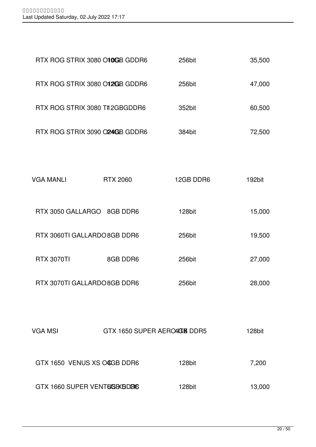| RTX ROG STRIX 3080 O10GB GDDR6  |                 | 256bit                       | 35,500 |
|---------------------------------|-----------------|------------------------------|--------|
| RTX ROG STRIX 3080 O12GB GDDR6  |                 | 256bit                       | 47,000 |
| RTX ROG STRIX 3080 TII 2GBGDDR6 |                 | 352bit                       | 60,500 |
| RTX ROG STRIX 3090 O24GB GDDR6  |                 | 384bit                       | 72,500 |
|                                 |                 |                              |        |
| <b>VGA MANLI</b>                | <b>RTX 2060</b> | 12GB DDR6                    | 192bit |
| RTX 3050 GALLARGO 8GB DDR6      |                 | 128bit                       | 15,000 |
| RTX 3060TI GALLARDO 8GB DDR6    |                 | 256bit                       | 19,500 |
| <b>RTX 3070TI</b>               | 8GB DDR6        | 256bit                       | 27,000 |
| RTX 3070TI GALLARDO 8GB DDR6    |                 | 256bit                       | 28,000 |
|                                 |                 |                              |        |
| <b>VGA MSI</b>                  |                 | GTX 1650 SUPER AERO4COM DDR5 | 128bit |
| GTX 1650 VENUS XS OCGB DDR6     |                 | 128bit                       | 7,200  |
| GTX 1660 SUPER VENT6ISBXBD86    |                 | 128bit                       | 13,000 |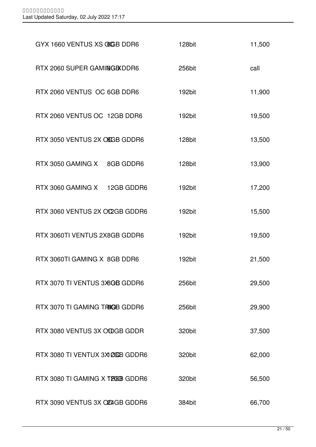| GYX 1660 VENTUS XS COCB DDR6      | 128bit | 11,500 |
|-----------------------------------|--------|--------|
| RTX 2060 SUPER GAMING BXDDR6      | 256bit | call   |
| RTX 2060 VENTUS OC 6GB DDR6       | 192bit | 11,900 |
| RTX 2060 VENTUS OC 12GB DDR6      | 192bit | 19,500 |
| RTX 3050 VENTUS 2X OSGB GDDR6     | 128bit | 13,500 |
| RTX 3050 GAMING X 8GB GDDR6       | 128bit | 13,900 |
| RTX 3060 GAMING X 12GB GDDR6      | 192bit | 17,200 |
| RTX 3060 VENTUS 2X OC2GB GDDR6    | 192bit | 15,500 |
| RTX 3060TI VENTUS 2X8GB GDDR6     | 192bit | 19,500 |
| RTX 3060TI GAMING X 8GB DDR6      | 192bit | 21,500 |
| RTX 3070 TI VENTUS 3X8GB GDDR6    | 256bit | 29,500 |
| RTX 3070 TI GAMING TRIGB GDDR6    | 256bit | 29,900 |
| RTX 3080 VENTUS 3X OCOGB GDDR     | 320bit | 37,500 |
| RTX 3080 TI VENTUX 3X1 20GB GDDR6 | 320bit | 62,000 |
| RTX 3080 TI GAMING X TREEB GDDR6  | 320bit | 56,500 |
| RTX 3090 VENTUS 3X OR4GB GDDR6    | 384bit | 66,700 |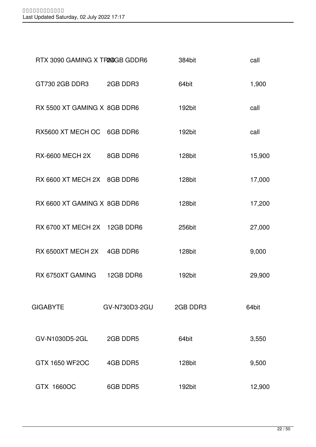| RTX 3090 GAMING X TR240GB GDDR6 |               | 384bit   | call   |
|---------------------------------|---------------|----------|--------|
| GT730 2GB DDR3 2GB DDR3         |               | 64bit    | 1,900  |
| RX 5500 XT GAMING X 8GB DDR6    |               | 192bit   | call   |
| RX5600 XT MECH OC 6GB DDR6      |               | 192bit   | call   |
| RX-6600 MECH 2X 8GB DDR6        |               | 128bit   | 15,900 |
| RX 6600 XT MECH 2X 8GB DDR6     |               | 128bit   | 17,000 |
| RX 6600 XT GAMING X 8GB DDR6    |               | 128bit   | 17,200 |
| RX 6700 XT MECH 2X 12GB DDR6    |               | 256bit   | 27,000 |
| RX 6500XT MECH 2X 4GB DDR6      |               | 128bit   | 9,000  |
| RX 6750XT GAMING 12GB DDR6      |               | 192bit   | 29,900 |
| <b>GIGABYTE</b>                 | GV-N730D3-2GU | 2GB DDR3 | 64bit  |
| GV-N1030D5-2GL                  | 2GB DDR5      | 64bit    | 3,550  |
| GTX 1650 WF2OC                  | 4GB DDR5      | 128bit   | 9,500  |
| GTX 1660OC                      | 6GB DDR5      | 192bit   | 12,900 |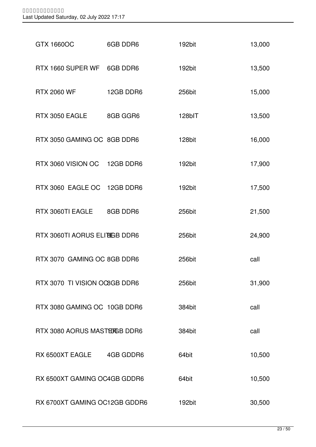| <b>GTX 1660OC</b>             | 6GB DDR6  | 192bit | 13,000 |
|-------------------------------|-----------|--------|--------|
| RTX 1660 SUPER WF 6GB DDR6    |           | 192bit | 13,500 |
| <b>RTX 2060 WF</b>            | 12GB DDR6 | 256bit | 15,000 |
| RTX 3050 EAGLE 8GB GGR6       |           | 128bIT | 13,500 |
| RTX 3050 GAMING OC 8GB DDR6   |           | 128bit | 16,000 |
| RTX 3060 VISION OC 12GB DDR6  |           | 192bit | 17,900 |
| RTX 3060 EAGLE OC 12GB DDR6   |           | 192bit | 17,500 |
| RTX 3060TI EAGLE 8GB DDR6     |           | 256bit | 21,500 |
| RTX 3060TI AORUS ELIBIGB DDR6 |           | 256bit | 24,900 |
| RTX 3070 GAMING OC 8GB DDR6   |           | 256bit | call   |
| RTX 3070 TI VISION OC8GB DDR6 |           | 256bit | 31,900 |
| RTX 3080 GAMING OC 10GB DDR6  |           | 384bit | call   |
| RTX 3080 AORUS MASTERGB DDR6  |           | 384bit | call   |
| RX 6500XT EAGLE 4GB GDDR6     |           | 64bit  | 10,500 |
| RX 6500XT GAMING OC4GB GDDR6  |           | 64bit  | 10,500 |
| RX 6700XT GAMING OC12GB GDDR6 |           | 192bit | 30,500 |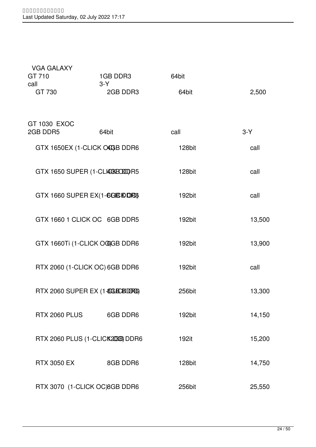| VGA GALAXY               |                                  |        |        |
|--------------------------|----------------------------------|--------|--------|
| GT 710                   | 1GB DDR3                         | 64bit  |        |
| call<br>GT 730           | $3-Y$<br>2GB DDR3                | 64bit  | 2,500  |
|                          |                                  |        |        |
| GT 1030 EXOC<br>2GB DDR5 | 64bit                            | call   | $3-Y$  |
|                          |                                  |        |        |
|                          | GTX 1650EX (1-CLICK OCGB DDR6    | 128bit | call   |
|                          | GTX 1650 SUPER (1-CLICCRECOLTR5  | 128bit | call   |
|                          |                                  |        |        |
|                          | GTX 1660 SUPER EX(1-6GIBIODRG)   | 192bit | call   |
|                          |                                  |        |        |
|                          | GTX 1660 1 CLICK OC 6GB DDR5     | 192bit | 13,500 |
|                          | GTX 1660Ti (1-CLICK OGGB DDR6    | 192bit | 13,900 |
|                          |                                  |        |        |
|                          | RTX 2060 (1-CLICK OC) 6GB DDR6   | 192bit | call   |
|                          |                                  |        |        |
|                          | RTX 2060 SUPER EX (1-8GBCBLORG)  | 256bit | 13,300 |
| RTX 2060 PLUS            | 6GB DDR6                         | 192bit | 14,150 |
|                          |                                  |        |        |
|                          | RTX 2060 PLUS (1-CLICK200B) DDR6 | 192it  | 15,200 |
| <b>RTX 3050 EX</b>       | 8GB DDR6                         | 128bit |        |
|                          |                                  |        | 14,750 |
|                          | RTX 3070 (1-CLICK OC)8GB DDR6    | 256bit | 25,550 |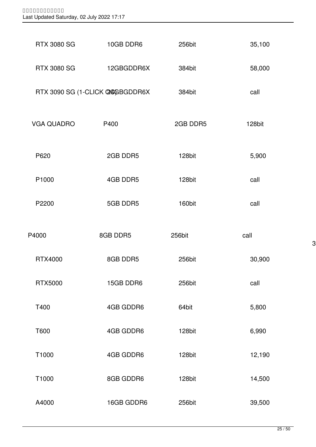| <b>RTX 3080 SG</b> | 10GB DDR6                       | 256bit   | 35,100 |
|--------------------|---------------------------------|----------|--------|
| <b>RTX 3080 SG</b> | 12GBGDDR6X                      | 384bit   | 58,000 |
|                    | RTX 3090 SG (1-CLICK 24GBGDDR6X | 384bit   | call   |
| <b>VGA QUADRO</b>  | P400                            | 2GB DDR5 | 128bit |
| P620               | 2GB DDR5                        | 128bit   | 5,900  |
| P1000              | 4GB DDR5                        | 128bit   | call   |
| P2200              | 5GB DDR5                        | 160bit   | call   |
| P4000              | 8GB DDR5                        | 256bit   | call   |
|                    |                                 |          |        |
| <b>RTX4000</b>     | 8GB DDR5                        | 256bit   | 30,900 |
| <b>RTX5000</b>     | 15GB DDR6                       | 256bit   | call   |
| T400               | 4GB GDDR6                       | 64bit    | 5,800  |
| T600               | 4GB GDDR6                       | 128bit   | 6,990  |
| T1000              | 4GB GDDR6                       | 128bit   | 12,190 |
| T1000              | 8GB GDDR6                       | 128bit   | 14,500 |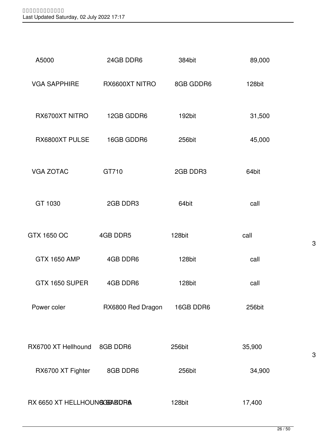| A5000                       | 24GB DDR6         | 384bit    | 89,000 |
|-----------------------------|-------------------|-----------|--------|
| <b>VGA SAPPHIRE</b>         | RX6600XT NITRO    | 8GB GDDR6 | 128bit |
| RX6700XT NITRO              | 12GB GDDR6        | 192bit    | 31,500 |
| RX6800XT PULSE              | 16GB GDDR6        | 256bit    | 45,000 |
| <b>VGA ZOTAC</b>            | GT710             | 2GB DDR3  | 64bit  |
| GT 1030                     | 2GB DDR3          | 64bit     | call   |
| GTX 1650 OC                 | 4GB DDR5          | 128bit    | call   |
| <b>GTX 1650 AMP</b>         | 4GB DDR6          | 128bit    | call   |
| GTX 1650 SUPER              | 4GB DDR6          | 128bit    | call   |
| Power coler                 | RX6800 Red Dragon | 16GB DDR6 | 256bit |
| RX6700 XT Hellhound         | 8GB DDR6          | 256bit    | 35,900 |
| RX6700 XT Fighter           | 8GB DDR6          | 256bit    | 34,900 |
| RX 6650 XT HELLHOUNGGERADRA |                   | 128bit    | 17,400 |

3-Y

3-Y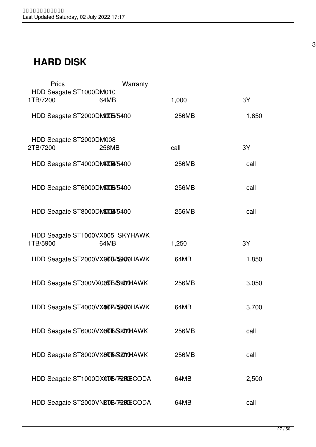### **HARD DISK**

| <b>Prics</b> | Warranty                                |       |       |
|--------------|-----------------------------------------|-------|-------|
| 1TB/7200     | HDD Seagate ST1000DM010<br>64MB         | 1,000 | 3Y    |
|              | HDD Seagate ST2000DM2005/5400           | 256MB | 1,650 |
| 2TB/7200     | HDD Seagate ST2000DM008<br>256MB        | call  | 3Y    |
|              | HDD Seagate ST4000DM0009/5400           | 256MB | call  |
|              | HDD Seagate ST6000DM6003/5400           | 256MB | call  |
|              | HDD Seagate ST8000DM8009/5400           | 256MB | call  |
| 1TB/5900     | HDD Seagate ST1000VX005 SKYHAWK<br>64MB | 1,250 | 3Y    |
|              | HDD Seagate ST2000VX2008/59000HAWK      | 64MB  | 1,850 |
|              | HDD Seagate ST300VX089B/S800HAWK        | 256MB | 3,050 |
|              | HDD Seagate ST4000VX40DB/55000HAWK      | 64MB  | 3,700 |
|              | HDD Seagate ST6000VX60B/SKOOHAWK        | 256MB | call  |
|              | HDD Seagate ST8000VX80B/SECOHAWK        | 256MB | call  |
|              | HDD Seagate ST1000DX00B/72RDECODA       | 64MB  | 2,500 |
|              | HDD Seagate ST2000VN200B/7200ECODA      | 64MB  | call  |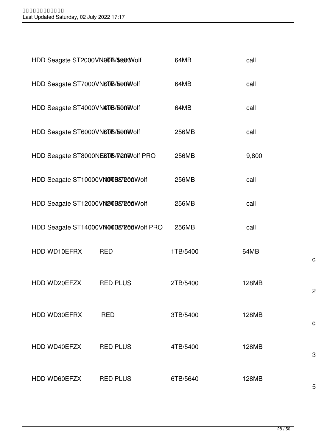| HDD Seagste ST2000VN20B/5800Wolf     |                                       | 64MB     | call  |   |
|--------------------------------------|---------------------------------------|----------|-------|---|
| HDD Seagate ST7000VN80B/5600Volf     |                                       | 64MB     | call  |   |
| HDD Seagate ST4000VN400B/5600Wolf    |                                       | 64MB     | call  |   |
| HDD Seagate ST6000VN60B/5600Volf     |                                       | 256MB    | call  |   |
| HDD Seagate ST8000NE80B/TradWolf PRO |                                       | 256MB    | 9,800 |   |
| HDD Seagate ST10000VNOUB87200Wolf    |                                       | 256MB    | call  |   |
| HDD Seagate ST12000VND0B87200Wolf    |                                       | 256MB    | call  |   |
|                                      | HDD Seagate ST14000VN40B87200Wolf PRO | 256MB    | call  |   |
| HDD WD10EFRX                         | <b>RED</b>                            | 1TB/5400 | 64MB  | C |
| HDD WD20EFZX                         | <b>RED PLUS</b>                       | 2TB/5400 | 128MB | 2 |
| HDD WD30EFRX                         | <b>RED</b>                            | 3TB/5400 | 128MB | C |
| HDD WD40EFZX                         | <b>RED PLUS</b>                       | 4TB/5400 | 128MB | 3 |
| HDD WD60EFZX                         | <b>RED PLUS</b>                       | 6TB/5640 | 128MB | 5 |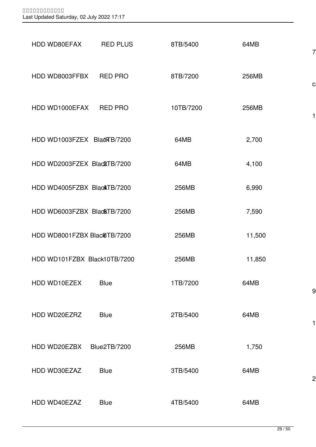| HDD WD80EFAX                 | <b>RED PLUS</b>     | 8TB/5400  | 64MB   | 7              |
|------------------------------|---------------------|-----------|--------|----------------|
| HDD WD8003FFBX RED PRO       |                     | 8TB/7200  | 256MB  | C              |
| HDD WD1000EFAX RED PRO       |                     | 10TB/7200 | 256MB  | 1              |
| HDD WD1003FZEX BladKB/7200   |                     | 64MB      | 2,700  |                |
| HDD WD2003FZEX Blac&TB/7200  |                     | 64MB      | 4,100  |                |
| HDD WD4005FZBX Black TB/7200 |                     | 256MB     | 6,990  |                |
| HDD WD6003FZBX BlackTB/7200  |                     | 256MB     | 7,590  |                |
| HDD WD8001FZBX Black6TB/7200 |                     | 256MB     | 11,500 |                |
| HDD WD101FZBX Black10TB/7200 |                     | 256MB     | 11,850 |                |
| HDD WD10EZEX                 | <b>Blue</b>         | 1TB/7200  | 64MB   | 9              |
| HDD WD20EZRZ                 | <b>Blue</b>         | 2TB/5400  | 64MB   | 1              |
| HDD WD20EZBX                 | <b>Blue2TB/7200</b> | 256MB     | 1,750  |                |
| HDD WD30EZAZ                 | <b>Blue</b>         | 3TB/5400  | 64MB   | $\overline{c}$ |
| HDD WD40EZAZ                 | <b>Blue</b>         | 4TB/5400  | 64MB   |                |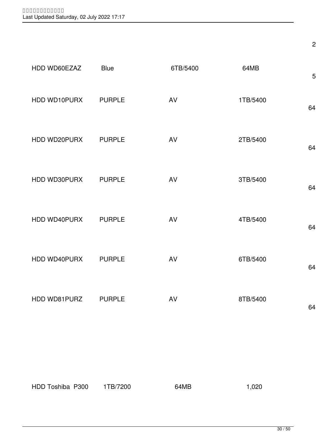|              |               |          |          | $\overline{c}$ |
|--------------|---------------|----------|----------|----------------|
| HDD WD60EZAZ | <b>Blue</b>   | 6TB/5400 | 64MB     | 5              |
| HDD WD10PURX | <b>PURPLE</b> | AV       | 1TB/5400 | 64             |
| HDD WD20PURX | <b>PURPLE</b> | AV       | 2TB/5400 | 64             |
| HDD WD30PURX | <b>PURPLE</b> | AV       | 3TB/5400 | 64             |
| HDD WD40PURX | <b>PURPLE</b> | AV       | 4TB/5400 | 64             |
| HDD WD40PURX | <b>PURPLE</b> | AV       | 6TB/5400 | 64             |
| HDD WD81PURZ | <b>PURPLE</b> | AV       | 8TB/5400 | 64             |
|              |               |          |          |                |
|              |               |          |          |                |

| HDD Toshiba P300 | 1TB/7200 | 64MB | 1,020 |
|------------------|----------|------|-------|
|                  |          |      |       |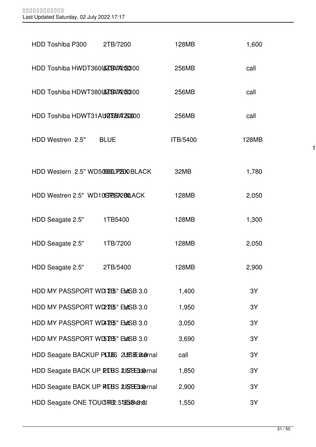| HDD Toshiba P300                                                      | 2TB/7200 | 128MB    | 1,600 |
|-----------------------------------------------------------------------|----------|----------|-------|
| HDD Toshiba HWDT360L678X77209300                                      |          | 256MB    | call  |
| HDD Toshiba HDWT38018ZBW7209300                                       |          | 256MB    | call  |
| HDD Toshiba HDWT31AUØSB/A2S8000                                       |          | 256MB    | call  |
| HDD Westren 2.5" BLUE                                                 |          | ITB/5400 | 128MB |
| HDD Western 2.5" WD5050001/P2300 BLACK                                |          | 32MB     | 1,780 |
| HDD Westren 2.5" WD10ISTESS72BOLACK                                   |          | 128MB    | 2,050 |
| HDD Seagate 2.5"                                                      | 1TB5400  | 128MB    | 1,300 |
| HDD Seagate 2.5"                                                      | 1TB/7200 | 128MB    | 2,050 |
| HDD Seagate 2.5"                                                      | 2TB/5400 | 128MB    | 2,900 |
| HDD MY PASSPORT WD 255" EMSB 3.0                                      |          | 1,400    | 3Y    |
| HDD MY PASSPORT WD2 2B5" EMSB 3.0                                     |          | 1,950    | 3Y    |
| HDD MY PASSPORT WD4725" EMSB 3.0                                      |          | 3,050    | 3Y    |
| HDD MY PASSPORT WL57E5" EMSB 3.0                                      |          | 3,690    | 3Y    |
| HDD Seagate BACKUP PLILES 2LESTE Sternal                              |          | call     | 3Y    |
| HDD Seagate BACK UP PIBS 2JSBEX1@rnal                                 |          | 1,850    | 3Y    |
| HDD Seagate BACK UP PALBS 2JSBE3:1@rnal                               |          | 2,900    | 3Y    |
| HDD Seagate ONE TOUGHE 2.5 UBSES And HDD Seagate ONE TOUGHER .5 UBSES |          | 1,550    | 3Y    |

 $\vert$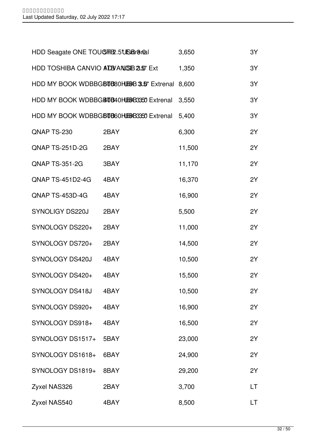| HDD Seagate ONE TOUGHE 2.5 USB rand |                                                | 3,650  | 3Y |
|-------------------------------------|------------------------------------------------|--------|----|
| HDD TOSHIBA CANVIO ADBYANUS B25 Ext |                                                | 1,350  | 3Y |
|                                     | HDD MY BOOK WDBBGBTB80HBBB 3.5" Extrenal 8,600 |        | 3Y |
|                                     | HDD MY BOOK WDBBGB0B40HBBB3350 Extrenal        | 3,550  | 3Y |
|                                     | HDD MY BOOK WDBBGB0B60HBBB3350 Extrenal        | 5,400  | 3Y |
| QNAP TS-230                         | 2BAY                                           | 6,300  | 2Y |
| QNAP TS-251D-2G                     | 2BAY                                           | 11,500 | 2Y |
| <b>QNAP TS-351-2G</b>               | 3BAY                                           | 11,170 | 2Y |
| <b>QNAP TS-451D2-4G</b>             | 4BAY                                           | 16,370 | 2Y |
| QNAP TS-453D-4G                     | 4BAY                                           | 16,900 | 2Y |
| SYNOLIGY DS220J                     | 2BAY                                           | 5,500  | 2Y |
| SYNOLOGY DS220+                     | 2BAY                                           | 11,000 | 2Y |
| SYNOLOGY DS720+                     | 2BAY                                           | 14,500 | 2Y |
| SYNOLOGY DS420J                     | 4BAY                                           | 10,500 | 2Y |
| SYNOLOGY DS420+                     | 4BAY                                           | 15,500 | 2Y |
| SYNOLOGY DS418J                     | 4BAY                                           | 10,500 | 2Y |
| SYNOLOGY DS920+                     | 4BAY                                           | 16,900 | 2Y |
| SYNOLOGY DS918+                     | 4BAY                                           | 16,500 | 2Y |
| SYNOLOGY DS1517+                    | 5BAY                                           | 23,000 | 2Y |
| SYNOLOGY DS1618+                    | 6BAY                                           | 24,900 | 2Y |
| SYNOLOGY DS1819+                    | 8BAY                                           | 29,200 | 2Y |
| Zyxel NAS326                        | 2BAY                                           | 3,700  | LT |
| Zyxel NAS540                        | 4BAY                                           | 8,500  | LT |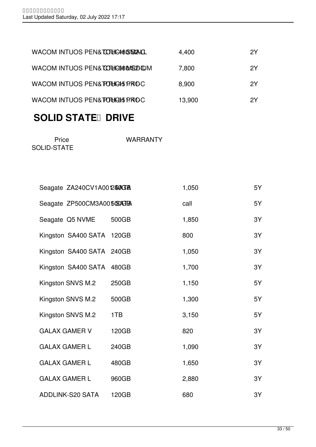| WACOM INTUOS PEN& TO THE 48 STOLAL | 4,400  | 2Υ |
|------------------------------------|--------|----|
| WACOM INTUOS PEN& LOOHGOOMSEED LOM | 7,800  | 2Y |
| WACOM INTUOS PEN& FOUGAS PROC      | 8,900  | 2Y |
| WACOM INTUOS PEN& POLICIST PROC    | 13,900 | 2Υ |
|                                    |        |    |

## **SOLID STATE DRIVE**

| Price       | <b>WARRANTY</b> |
|-------------|-----------------|
| SOLID-STATE |                 |

| Seagate ZA240CV1A0012\$0GB  |       | 1,050 | 5Y |
|-----------------------------|-------|-------|----|
| Seagate ZP500CM3A005030GTBA |       | call  | 5Y |
| Seagate Q5 NVME             | 500GB | 1,850 | 3Y |
| Kingston SA400 SATA 120GB   |       | 800   | 3Y |
| Kingston SA400 SATA 240GB   |       | 1,050 | 3Y |
| Kingston SA400 SATA 480GB   |       | 1,700 | 3Y |
| Kingston SNVS M.2           | 250GB | 1,150 | 5Y |
| Kingston SNVS M.2           | 500GB | 1,300 | 5Y |
| Kingston SNVS M.2           | 1TB   | 3,150 | 5Y |
| <b>GALAX GAMER V</b>        | 120GB | 820   | 3Y |
| <b>GALAX GAMER L</b>        | 240GB | 1,090 | 3Y |
| <b>GALAX GAMER L</b>        | 480GB | 1,650 | 3Y |
| <b>GALAX GAMER L</b>        | 960GB | 2,880 | 3Y |
| <b>ADDLINK-S20 SATA</b>     | 120GB | 680   | 3Y |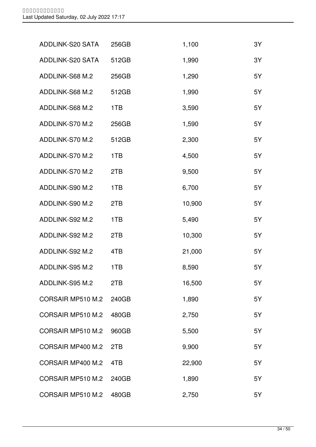| ADDLINK-S20 SATA  | 256GB | 1,100  | 3Y |
|-------------------|-------|--------|----|
| ADDLINK-S20 SATA  | 512GB | 1,990  | 3Y |
| ADDLINK-S68 M.2   | 256GB | 1,290  | 5Y |
| ADDLINK-S68 M.2   | 512GB | 1,990  | 5Y |
| ADDLINK-S68 M.2   | 1TB   | 3,590  | 5Y |
| ADDLINK-S70 M.2   | 256GB | 1,590  | 5Y |
| ADDLINK-S70 M.2   | 512GB | 2,300  | 5Y |
| ADDLINK-S70 M.2   | 1TB   | 4,500  | 5Y |
| ADDLINK-S70 M.2   | 2TB   | 9,500  | 5Y |
| ADDLINK-S90 M.2   | 1TB   | 6,700  | 5Y |
| ADDLINK-S90 M.2   | 2TB   | 10,900 | 5Y |
| ADDLINK-S92 M.2   | 1TB   | 5,490  | 5Y |
| ADDLINK-S92 M.2   | 2TB   | 10,300 | 5Y |
| ADDLINK-S92 M.2   | 4TB   | 21,000 | 5Y |
| ADDLINK-S95 M.2   | 1TB   | 8,590  | 5Y |
| ADDLINK-S95 M.2   | 2TB   | 16,500 | 5Y |
| CORSAIR MP510 M.2 | 240GB | 1,890  | 5Y |
| CORSAIR MP510 M.2 | 480GB | 2,750  | 5Y |
| CORSAIR MP510 M.2 | 960GB | 5,500  | 5Y |
| CORSAIR MP400 M.2 | 2TB   | 9,900  | 5Y |
| CORSAIR MP400 M.2 | 4TB   | 22,900 | 5Y |
| CORSAIR MP510 M.2 | 240GB | 1,890  | 5Y |
| CORSAIR MP510 M.2 | 480GB | 2,750  | 5Y |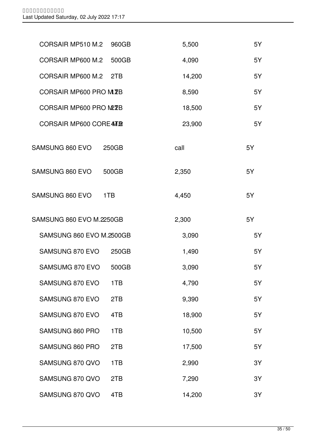| CORSAIR MP510 M.2               | 960GB | 5,500  | 5Y |
|---------------------------------|-------|--------|----|
| CORSAIR MP600 M.2               | 500GB | 4,090  | 5Y |
| CORSAIR MP600 M.2               | 2TB   | 14,200 | 5Y |
| CORSAIR MP600 PRO M.72B         |       | 8,590  | 5Y |
| CORSAIR MP600 PRO M2ZB          |       | 18,500 | 5Y |
| <b>CORSAIR MP600 COREATE</b>    |       | 23,900 | 5Y |
| SAMSUNG 860 EVO<br>250GB        |       | call   | 5Y |
| SAMSUNG 860 EVO<br>500GB        |       | 2,350  | 5Y |
| SAMSUNG 860 EVO<br>1TB          |       | 4,450  | 5Y |
| <b>SAMSUNG 860 EVO M.2250GB</b> |       | 2,300  | 5Y |
| SAMSUNG 860 EVO M.2500GB        |       | 3,090  | 5Y |
| SAMSUNG 870 EVO                 | 250GB | 1,490  | 5Y |
| <b>SAMSUMG 870 EVO</b>          | 500GB | 3,090  | 5Y |
| SAMSUNG 870 EVO                 | 1TB   | 4,790  | 5Y |
| SAMSUNG 870 EVO                 | 2TB   | 9,390  | 5Y |
| SAMSUNG 870 EVO                 | 4TB   | 18,900 | 5Y |
| SAMSUNG 860 PRO                 | 1TB   | 10,500 | 5Y |
| SAMSUNG 860 PRO                 | 2TB   | 17,500 | 5Y |
| SAMSUNG 870 QVO                 | 1TB   | 2,990  | 3Y |
| SAMSUNG 870 QVO                 | 2TB   | 7,290  | 3Y |
| SAMSUNG 870 QVO                 | 4TB   | 14,200 | 3Y |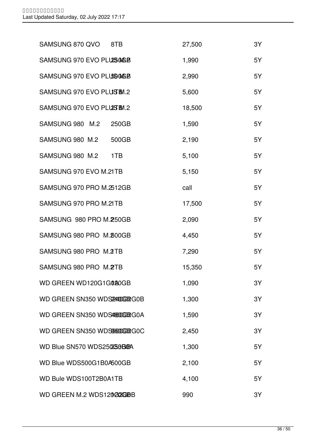| SAMSUNG 870 QVO<br>8TB         | 27,500 | 3Y |
|--------------------------------|--------|----|
| SAMSUNG 970 EVO PLUSINGB       | 1,990  | 5Y |
| SAMSUNG 970 EVO PLUSOMGB       | 2,990  | 5Y |
| SAMSUNG 970 EVO PLUSEM.2       | 5,600  | 5Y |
| SAMSUNG 970 EVO PLUSS BM.2     | 18,500 | 5Y |
| SAMSUNG 980 M.2<br>250GB       | 1,590  | 5Y |
| SAMSUNG 980 M.2<br>500GB       | 2,190  | 5Y |
| SAMSUNG 980 M.2<br>1TB         | 5,100  | 5Y |
| SAMSUNG 970 EVO M.21TB         | 5,150  | 5Y |
| SAMSUNG 970 PRO M.2512GB       | call   | 5Y |
| SAMSUNG 970 PRO M.21TB         | 17,500 | 5Y |
| SAMSUNG 980 PRO M.250GB        | 2,090  | 5Y |
| SAMSUNG 980 PRO M. 200GB       | 4,450  | 5Y |
| SAMSUNG 980 PRO M.2TB          | 7,290  | 5Y |
| SAMSUNG 980 PRO M.2TB          | 15,350 | 5Y |
| WD GREEN WD120G1G020GB         | 1,090  | 3Y |
| WD GREEN SN350 WDS224400GB2G0B | 1,300  | 3Y |
| WD GREEN SN350 WDS48800GB2G0A  | 1,590  | 3Y |
| WD GREEN SN350 WDS90600GB2G0C  | 2,450  | 3Y |
| WD Blue SN570 WDS250253B6BA    | 1,300  | 5Y |
| WD Blue WDS500G1B0A500GB       | 2,100  | 5Y |
| WD Bule WDS100T2B0A1TB         | 4,100  | 5Y |
| WD GREEN M.2 WDS12022GBB       | 990    | 3Y |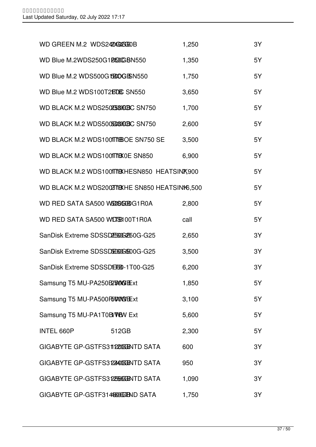| WD GREEN M.2 WDS242AGGEGEOB        |                                                | 1,250 | 3Y |
|------------------------------------|------------------------------------------------|-------|----|
| WD Blue M.2WDS250G1BOOGBN550       |                                                | 1,350 | 5Y |
| WD Blue M.2 WDS500G1B80GBSN550     |                                                | 1,750 | 5Y |
| WD Blue M.2 WDS100T2BDEC SN550     |                                                | 3,650 | 5Y |
| WD BLACK M.2 WDS250255060BC SN750  |                                                | 1,700 | 5Y |
| WD BLACK M.2 WDS5005660060BC SN750 |                                                | 2,600 | 5Y |
| WD BLACK M.2 WDS100TTHEOE SN750 SE |                                                | 3,500 | 5Y |
| WD BLACK M.2 WDS100TTBX0E SN850    |                                                | 6,900 | 5Y |
|                                    | WD BLACK M.2 WDS100TTDKHESN850 HEATSINK900     |       | 5Y |
|                                    | WD BLACK M.2 WDS2002TIBXHE SN850 HEATSIN16,500 |       | 5Y |
| WD RED SATA SA500 WEDGEBG1R0A      |                                                | 2,800 | 5Y |
| WD RED SATA SA500 WD3600T1R0A      |                                                | call  | 5Y |
| SanDisk Extreme SDSSDE60GE60G-G25  |                                                | 2,650 | 3Y |
| SanDisk Extreme SDSSDH60GB00G-G25  |                                                | 3,500 | 3Y |
| SanDisk Extreme SDSSDERE0-1T00-G25 |                                                | 6,200 | 3Y |
| Samsung T5 MU-PA250B2500GExt       |                                                | 1,850 | 5Y |
| Samsung T5 MU-PA500F50009Ext       |                                                | 3,100 | 5Y |
| Samsung T5 MU-PA1T0B/VBN Ext       |                                                | 5,600 | 5Y |
| INTEL 660P                         | 512GB                                          | 2,300 | 5Y |
| GIGABYTE GP-GSTFS3112200GENTD SATA |                                                | 600   | 3Y |
| GIGABYTE GP-GSTFS312400GENTD SATA  |                                                | 950   | 3Y |
| GIGABYTE GP-GSTFS31225666ENTD SATA |                                                | 1,090 | 3Y |
| GIGABYTE GP-GSTF3144800GFIND SATA  |                                                | 1,750 | 3Y |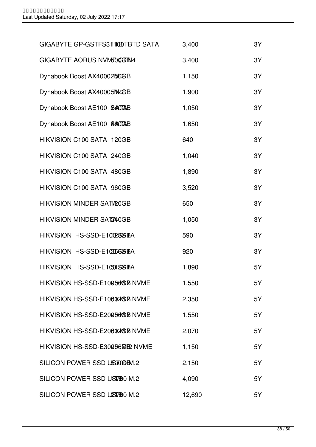| GIGABYTE GP-GSTFS311TOBTBTD SATA | 3,400  | 3Y |
|----------------------------------|--------|----|
| GIGABYTE AORUS NVMEDOGEEN4       | 3,400  | 3Y |
| Dynabook Boost AX40002566BB      | 1,150  | 3Y |
| Dynabook Boost AX40005M2GB       | 1,900  | 3Y |
| Dynabook Boost AE100 8407AB      | 1,050  | 3Y |
| Dynabook Boost AE100 \$807AB     | 1,650  | 3Y |
| HIKVISION C100 SATA 120GB        | 640    | 3Y |
| HIKVISION C100 SATA 240GB        | 1,040  | 3Y |
| HIKVISION C100 SATA 480GB        | 1,890  | 3Y |
| HIKVISION C100 SATA 960GB        | 3,520  | 3Y |
| HIKVISION MINDER SATI20GB        | 650    | 3Y |
| HIKVISION MINDER SAT240GB        | 1,050  | 3Y |
| HIKVISION HS-SSD-E10102843BA     | 590    | 3Y |
| HIKVISION HS-SSD-E102056GBA      | 920    | 3Y |
| HIKVISION HS-SSD-E10501843BA     | 1,890  | 5Y |
| HIKVISION HS-SSD-E100060GB NVME  | 1,550  | 5Y |
| HIKVISION HS-SSD-E10602GB NVME   | 2,350  | 5Y |
| HIKVISION HS-SSD-E200060GB NVME  | 1,550  | 5Y |
| HIKVISION HS-SSD-E206020GB NVME  | 2,070  | 5Y |
| HIKVISION HS-SSD-E3000609 NVME   | 1,150  | 5Y |
| SILICON POWER SSD USIXIOBM.2     | 2,150  | 5Y |
| SILICON POWER SSD UST/B0 M.2     | 4,090  | 5Y |
| SILICON POWER SSD UST/BO M.2     | 12,690 | 5Y |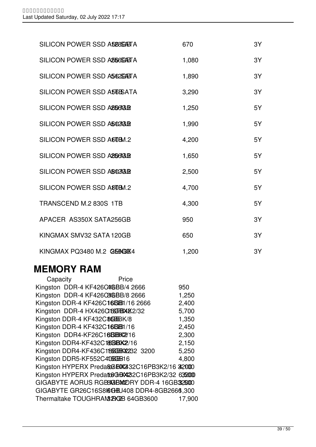| SILICON POWER SSD A588SGASTA | 670   | 3Y |
|------------------------------|-------|----|
| SILICON POWER SSD ASSOSTETA  | 1,080 | 3Y |
| SILICON POWER SSD A562GABTA  | 1,890 | 3Y |
| SILICON POWER SSD A55 BATA   | 3,290 | 3Y |
| SILICON POWER SSD ABOGGER    | 1,250 | 5Y |
| SILICON POWER SSD A502GB     | 1,990 | 5Y |
| SILICON POWER SSD A60BM.2    | 4,200 | 5Y |
| SILICON POWER SSD A2567GLB   | 1,650 | 5Y |
| SILICON POWER SSD AB02GB     | 2,500 | 5Y |
| SILICON POWER SSD A80BM.2    | 4,700 | 5Y |
| TRANSCEND M.2 830S 1TB       | 4,300 | 5Y |
| APACER AS350X SATA256GB      | 950   | 3Y |
| KINGMAX SMV32 SATA 120GB     | 650   | 3Y |
| KINGMAX PQ3480 M.2 Q566384   | 1,200 | 3Y |

### **MEMORY RAM**

| Capacity                         | Price                                            |        |
|----------------------------------|--------------------------------------------------|--------|
| Kingston DDR-4 KF426C4GBB/4 2666 |                                                  | 950    |
| Kingston DDR-4 KF426C8GBB/8 2666 |                                                  | 1,250  |
|                                  | Kingston DDR-4 KF426C16BB1/16 2666               | 2,400  |
| Kingston DDR-4 HX426CIBGEBXX2/32 |                                                  | 5,700  |
| Kingston DDR-4 KF432C8GHBK/8     |                                                  | 1,350  |
| Kingston DDR-4 KF432C16BB1/16    |                                                  | 2,450  |
| Kingston DDR4-KF26C16BBX2216     |                                                  | 2,300  |
| Kingston DDR4-KF432C186BK2/16    |                                                  | 2,150  |
|                                  | Kingston DDR4-KF436C1866B6X2232 3200             | 5,250  |
| Kingston DDR5-KF552C4066BB16     |                                                  | 4,800  |
|                                  | Kingston HYPERX Preda&GBX432C16PB3K2/16 32000    |        |
|                                  | Kingston HYPERX Predato6GBX422C16PB3K2/32 632000 |        |
|                                  | GIGABYTE AORUS RGB8KGBMORY DDR-4 16GB325000      |        |
|                                  | GIGABYTE GR26C16S8KGHLJ408 DDR4-8GB2666,300      |        |
|                                  | Thermaltake TOUGHRAM& PAGB3600                   | 17,900 |
|                                  |                                                  |        |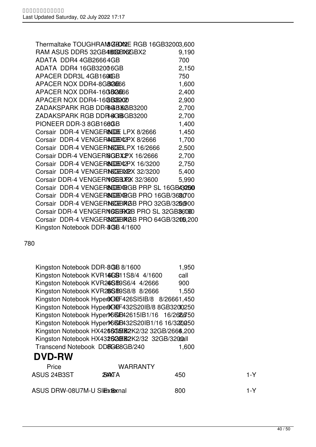| Thermaltake TOUGHRAM&BOORE RGB 16GB32003,600   |       |
|------------------------------------------------|-------|
| RAM ASUS DDR5 32GB48606BX626BX2                | 9,190 |
| ADATA DDR4 4GB26664GB                          | 700   |
| ADATA DDR4 16GB32006GB                         | 2,150 |
| APACER DDR3L 4GB1600GB                         | 750   |
| APACER NOX DDR4-8GB26666                       | 1,600 |
| APACER NOX DDR4-16GB2666                       | 2,400 |
| APACER NOX DDR4-16 GBB2020                     | 2,900 |
| ZADAKSPARK RGB DDR&BX&B3200                    | 2,700 |
| ZADAKSPARK RGB DDR GGBGB3200                   | 2,700 |
| PIONEER DDR-3 8GB168GB                         | 1,400 |
| Corsair DDR-4 VENGER&GE LPX 8/2666             | 1,450 |
| Corsair DDR-4 VENGERAGEX12PX 8/2666            | 1,700 |
| Corsair DDR-4 VENGERINGCHELPX 16/2666          | 2,500 |
| Corsair DDR-4 VENGERIGBXPX 16/2666             | 2,700 |
| Corsair DDR-4 VENGER&GEX2PX 16/3200            | 2,750 |
| Corsair DDR-4 VENGERNGCEBARY 32/3200           | 5,400 |
| Corsair DDR-4 VENGERNGGBXX 32/3600             | 5,990 |
| Corsair DDR-4 VENGER&GEXEGB PRP SL 16GB43250   |       |
| Corsair DDR-4 VENGER&GEXEGB PRO 16GB/3680700   |       |
| Corsair DDR-4 VENGERNGCEBRGB PRO 32GB/32D,900  |       |
| Corsair DDR-4 VENGERNGGERCEB PRO SL 32GB86090  |       |
| Corsair DDR-4 VENGER34CGBRGB PRO 64GB/3205,200 |       |
| Kingston Notebook DDR-8GB 4/1600               |       |

780

|               | Kingston Notebook DDR-8GB 8/1600                    |     | 1,950 |  |
|---------------|-----------------------------------------------------|-----|-------|--|
|               | Kingston Notebook KVR14GB11S8/4 4/1600              |     | call  |  |
|               | Kingston Notebook KVR26SB9S6/4 4/2666               |     | 900   |  |
|               | Kingston Notebook KVR28SB9S8/8 8/2666               |     | 1,550 |  |
|               | Kingston Notebook Hyper&CKEF426SI5IB/8 8/26661,450  |     |       |  |
|               | Kingston Notebook Hyper&CKEF432S20IB/8 8GB3200250   |     |       |  |
|               | Kingston Notebook HyperX6KGB42615IB1/16 16/2686750  |     |       |  |
|               | Kingston Notebook HyperX6KGB432S201B1/16 16/3220450 |     |       |  |
|               | Kingston Notebook HX4266GGB82K2/32 32GB/2666,200    |     |       |  |
|               | Kingston Notebook HX4326GBB2K2/32 32GB/320Gall      |     |       |  |
|               | Transcend Notebook DD8GB8GB/240                     |     | 1,600 |  |
| <b>DVD-RW</b> |                                                     |     |       |  |
| Price         | <b>WARRANTY</b>                                     |     |       |  |
| ASUS 24B3ST   | 'ЖАХ I Д                                            | 450 |       |  |
|               |                                                     |     |       |  |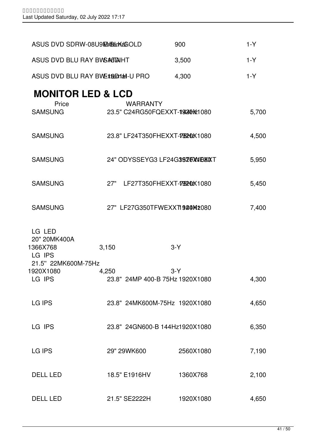| ASUS DVD SDRW-08U9EXEALTKAGOLD                                      |                                                 | 900       | $1-Y$ |
|---------------------------------------------------------------------|-------------------------------------------------|-----------|-------|
| ASUS DVD BLU RAY BWSAGTAIHT                                         |                                                 | 3,500     | $1-Y$ |
| ASUS DVD BLU RAY BWEXEDMail-U PRO                                   |                                                 | 4,300     | $1-Y$ |
| <b>MONITOR LED &amp; LCD</b>                                        |                                                 |           |       |
| Price<br><b>SAMSUNG</b>                                             | <b>WARRANTY</b><br>23.5" C24RG50FQEXXT-19440 30 |           | 5,700 |
| <b>SAMSUNG</b>                                                      | 23.8" LF24T350FHEXXT-795202X1080                |           | 4,500 |
| <b>SAMSUNG</b>                                                      | 24" ODYSSEYG3 LF24G3970W0XXT                    |           | 5,950 |
| <b>SAMSUNG</b>                                                      | 27" LF27T350FHEXXT-7952HDX1080                  |           | 5,450 |
| <b>SAMSUNG</b>                                                      | 27" LF27G350TFWEXXTI920Mt080                    |           | 7,400 |
| LG LED<br>20" 20MK400A<br>1366X768<br>LG IPS<br>21.5" 22MK600M-75Hz | 3,150                                           | $3-Y$     |       |
| 1920X1080<br>LG IPS                                                 | 4,250<br>23.8" 24MP 400-B 75Hz 1920X1080        | $3-Y$     | 4,300 |
| <b>LG IPS</b>                                                       | 23.8" 24MK600M-75Hz 1920X1080                   |           | 4,650 |
| LG IPS                                                              | 23.8" 24GN600-B 144Hz1920X1080                  |           | 6,350 |
| LG IPS                                                              | 29" 29WK600                                     | 2560X1080 | 7,190 |
| <b>DELL LED</b>                                                     | 18.5" E1916HV                                   | 1360X768  | 2,100 |
| <b>DELL LED</b>                                                     | 21.5" SE2222H                                   | 1920X1080 | 4,650 |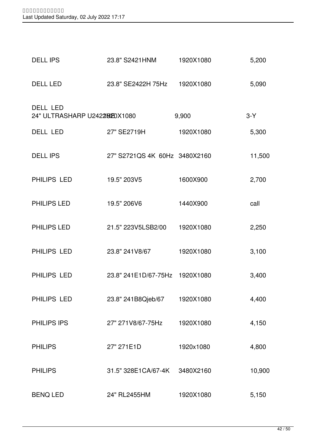| <b>DELL IPS</b>                          | 23.8" S2421HNM                 | 1920X1080 | 5,200  |
|------------------------------------------|--------------------------------|-----------|--------|
| <b>DELL LED</b>                          | 23.8" SE2422H 75Hz 1920X1080   |           | 5,090  |
| DELL LED<br>24" ULTRASHARP U2422020X1080 |                                | 9,900     | $3-Y$  |
| DELL LED                                 | 27" SE2719H                    | 1920X1080 | 5,300  |
| <b>DELL IPS</b>                          | 27" S2721QS 4K 60Hz 3480X2160  |           | 11,500 |
| PHILIPS LED                              | 19.5" 203V5                    | 1600X900  | 2,700  |
| PHILIPS LED                              | 19.5" 206V6                    | 1440X900  | call   |
| PHILIPS LED                              | 21.5" 223V5LSB2/00             | 1920X1080 | 2,250  |
| PHILIPS LED                              | 23.8" 241 V8/67                | 1920X1080 | 3,100  |
| PHILIPS LED                              | 23.8" 241E1D/67-75Hz 1920X1080 |           | 3,400  |
| PHILIPS LED                              | 23.8" 241B8Qjeb/67             | 1920X1080 | 4,400  |
| PHILIPS IPS                              | 27" 271 V8/67-75 Hz            | 1920X1080 | 4,150  |
| <b>PHILIPS</b>                           | 27" 271E1D                     | 1920x1080 | 4,800  |
| <b>PHILIPS</b>                           | 31.5" 328E1CA/67-4K            | 3480X2160 | 10,900 |
| <b>BENQ LED</b>                          | 24" RL2455HM                   | 1920X1080 | 5,150  |
|                                          |                                |           |        |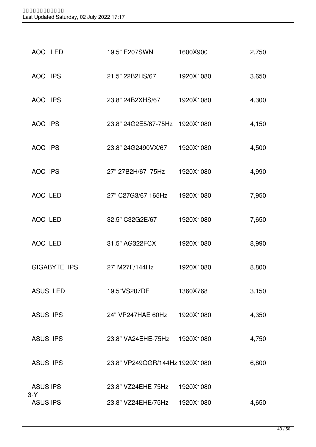| GIGABYTE IPS             | 27' M27F/144Hz                 | 1920X1080 | 8,800 |
|--------------------------|--------------------------------|-----------|-------|
| <b>ASUS LED</b>          | 19.5"VS207DF                   | 1360X768  | 3,150 |
| <b>ASUS IPS</b>          | 24" VP247HAE 60Hz              | 1920X1080 | 4,350 |
| <b>ASUS IPS</b>          | 23.8" VA24EHE-75Hz             | 1920X1080 | 4,750 |
| <b>ASUS IPS</b>          | 23.8" VP249QGR/144Hz 1920X1080 |           | 6,800 |
| <b>ASUS IPS</b>          | 23.8" VZ24EHE 75Hz             | 1920X1080 |       |
| $3-Y$<br><b>ASUS IPS</b> | 23.8" VZ24EHE/75Hz             | 1920X1080 | 4,650 |
|                          |                                |           |       |

| AOC LED | 31.5" AG322FCX | 1920X1080 | 8,990 |
|---------|----------------|-----------|-------|

| AOC LED | 27" C27G3/67 165Hz  1920X1080 | 7,950 |
|---------|-------------------------------|-------|
|         |                               |       |

AOC LED 32.5" C32G2E/67 1920X1080 7,650

AOC IPS 27" 27B2H/67 75Hz 1920X1080 4,990

AOC IPS 23.8" 24G2490VX/67 1920X1080 4,500

AOC IPS 23.8" 24G2E5/67-75Hz 1920X1080 4,150

| AOC IPS | 23.8" 24B2XHS/67 | 1920X1080 | 4,300 |
|---------|------------------|-----------|-------|
|         |                  |           |       |

AOC IPS 21.5" 22B2HS/67 1920X1080 3,650

AOC LED 19.5" E207SWN 1600X900 2,750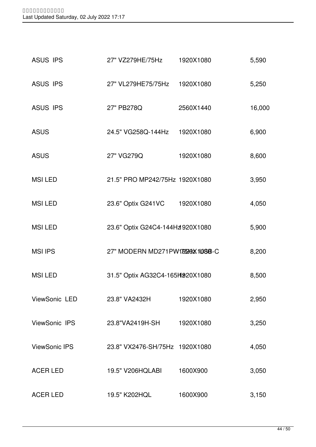| <b>ASUS IPS</b>      | 27" VZ279HE/75Hz                 | 1920X1080 | 5,590  |
|----------------------|----------------------------------|-----------|--------|
| <b>ASUS IPS</b>      | 27" VL279HE75/75Hz 1920X1080     |           | 5,250  |
| <b>ASUS IPS</b>      | 27" PB278Q                       | 2560X1440 | 16,000 |
| <b>ASUS</b>          | 24.5" VG258Q-144Hz 1920X1080     |           | 6,900  |
| <b>ASUS</b>          | 27" VG279Q                       | 1920X1080 | 8,600  |
| <b>MSILED</b>        | 21.5" PRO MP242/75Hz 1920X1080   |           | 3,950  |
| <b>MSILED</b>        | 23.6" Optix G241VC 1920X1080     |           | 4,050  |
| <b>MSILED</b>        | 23.6" Optix G24C4-144Hz920X1080  |           | 5,900  |
| <b>MSI IPS</b>       | 27" MODERN MD271PW179590X1080B-C |           | 8,200  |
| <b>MSILED</b>        | 31.5" Optix AG32C4-165H920X1080  |           | 8,500  |
| ViewSonic LED        | 23.8" VA2432H                    | 1920X1080 | 2,950  |
| ViewSonic IPS        | 23.8"VA2419H-SH                  | 1920X1080 | 3,250  |
| <b>ViewSonic IPS</b> | 23.8" VX2476-SH/75Hz 1920X1080   |           | 4,050  |
| <b>ACER LED</b>      | 19.5" V206HQLABI                 | 1600X900  | 3,050  |
| <b>ACER LED</b>      | 19.5" K202HQL                    | 1600X900  | 3,150  |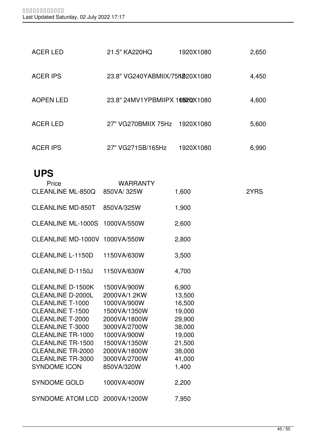| <b>ACER LED</b>  | 21.5" KA220HQ                   | 1920X1080 | 2,650 |
|------------------|---------------------------------|-----------|-------|
| <b>ACER IPS</b>  | 23.8" VG240YABMIIX/75h220X1080  |           | 4,450 |
| <b>AOPEN LED</b> | 23.8" 24MV1YPBMIIPX 169202X1080 |           | 4,600 |
| <b>ACER LED</b>  | 27" VG270BMIIX 75Hz 1920X1080   |           | 5,600 |
| <b>ACER IPS</b>  | 27" VG271SB/165Hz               | 1920X1080 | 6,990 |

### **UPS**

| Price<br><b>CLEANLINE ML-850Q</b> | <b>WARRANTY</b><br>850VA/325W | 1,600  | 2YRS |
|-----------------------------------|-------------------------------|--------|------|
|                                   |                               |        |      |
| <b>CLEANLINE MD-850T</b>          | 850VA/325W                    | 1,900  |      |
| CLEANLINE ML-1000S 1000VA/550W    |                               | 2,600  |      |
| CLEANLINE MD-1000V 1000VA/550W    |                               | 2,800  |      |
| <b>CLEANLINE L-1150D</b>          | 1150VA/630W                   | 3,500  |      |
| <b>CLEANLINE D-1150J</b>          | 1150VA/630W                   | 4,700  |      |
|                                   |                               |        |      |
| <b>CLEANLINE D-1500K</b>          | 1500VA/900W                   | 6,900  |      |
| <b>CLEANLINE D-2000L</b>          | 2000VA/1.2KW                  | 13,500 |      |
| CLEANLINE T-1000                  | 1000VA/900W                   | 16,500 |      |
| <b>CLEANLINE T-1500</b>           | 1500VA/1350W                  | 19,000 |      |
| <b>CLEANLINE T-2000</b>           | 2000VA/1800W                  | 29,900 |      |
| CLEANLINE T-3000                  | 3000VA/2700W                  | 38,000 |      |
| <b>CLEANLINE TR-1000</b>          | 1000VA/900W                   | 19,000 |      |
| <b>CLEANLINE TR-1500</b>          | 1500VA/1350W                  | 21,500 |      |
| <b>CLEANLINE TR-2000</b>          | 2000VA/1800W                  | 38,000 |      |
| <b>CLEANLINE TR-3000</b>          | 3000VA/2700W                  | 41,000 |      |
| <b>SYNDOME ICON</b>               | 850VA/320W                    | 1,400  |      |
| <b>SYNDOME GOLD</b>               | 1000VA/400W                   | 2,200  |      |
| SYNDOME ATOM LCD 2000VA/1200W     |                               | 7,950  |      |
|                                   |                               |        |      |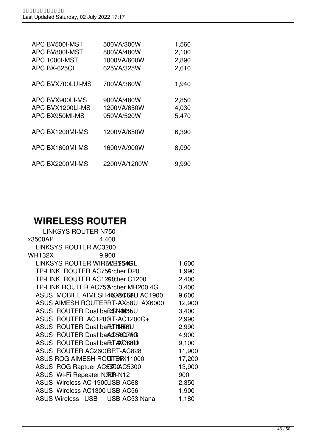| APC BV500I-MST       | 500VA/300W   | 1,560 |
|----------------------|--------------|-------|
| APC BV800I-MST       | 800VA/480W   | 2,100 |
| <b>APC 1000I-MST</b> | 1000VA/600W  | 2,890 |
| APC BX-625CI         | 625VA/325W   | 2,610 |
| APC BVX700LUI-MS     | 700VA/360W   | 1,940 |
| APC BVX900LI-MS      | 900VA/480W   | 2,850 |
| APC BVX1200LI-MS     | 1200VA/650W  | 4,030 |
| APC BX950MI-MS       | 950VA/520W   | 5.470 |
| APC BX1200MI-MS      | 1200VA/650W  | 6,390 |
| APC BX1600MI-MS      | 1600VA/900W  | 8,090 |
| APC BX2200MI-MS      | 2200VA/1200W | 9,990 |

## **WIRELESS ROUTER**

| <b>LINKSYS ROUTER N750</b>                |        |
|-------------------------------------------|--------|
| x3500AP<br>4,400                          |        |
| <b>LINKSYS ROUTER AC3200</b>              |        |
| WRT32X<br>9,900                           |        |
| LINKSYS ROUTER WIRE WESS4GL               | 1,600  |
| TP-LINK ROUTER AC75@rcher D20             | 1,990  |
| TP-LINK ROUTER AC1200cher C1200           | 2,400  |
| TP-LINK ROUTER AC75@rcher MR200 4G        | 3,400  |
| ASUS MOBILE AIMESH4 <b>CONCERU</b> AC1900 | 9,600  |
| ASUS AIMESH ROUTERRT-AX88U AX6000         | 12,900 |
| ASUS ROUTER Dual band SN40055U            | 3,400  |
| ASUS ROUTER AC1200RT-AC1200G+             | 2,990  |
| ASUS ROUTER Dual band MASTAND             | 2,990  |
| ASUS ROUTER Dual band 5800746             | 4,900  |
| ASUS ROUTER Dual band ACCBB00             | 9,100  |
| ASUS ROUTER AC2600BRT-AC828               | 11,900 |
| ASUS ROG AIMESH ROGTEARX11000             | 17,200 |
| ASUS ROG Raptuer ACS300AC5300             | 13,900 |
| ASUS Wi-Fi Repeater N300-N12              | 900    |
| ASUS Wireless AC-1900USB-AC68             | 2,350  |
| ASUS Wireless AC1300 USB-AC56             | 1,900  |
| ASUS Wireless USB USB-AC53 Nana           | 1,180  |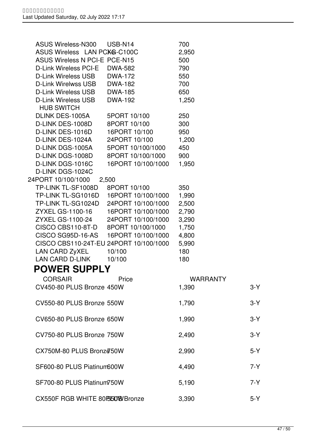| ASUS Wireless-N300                     | USB-N14                               | 700             |         |
|----------------------------------------|---------------------------------------|-----------------|---------|
| ASUS Wireless LAN PCK&-C100C           |                                       | 2,950           |         |
| ASUS Wireless N PCI-E PCE-N15          |                                       | 500             |         |
| D-Link Wireless PCI-E                  | DWA-582                               | 790             |         |
| D-Link Wireless USB                    | DWA-172                               | 550             |         |
| D-Link Wirelwss USB                    | DWA-182                               | 700             |         |
| D-Link Wireless USB                    | <b>DWA-185</b>                        | 650             |         |
| D-Link Wireless USB                    | <b>DWA-192</b>                        | 1,250           |         |
| <b>HUB SWITCH</b>                      |                                       |                 |         |
| DLINK DES-1005A                        | 5PORT 10/100                          | 250             |         |
| D-LINK DES-1008D                       | 8PORT 10/100                          | 300             |         |
| D-LINK DES-1016D                       | 16PORT 10/100                         | 950             |         |
| D-LINK DES-1024A                       | 24PORT 10/100                         | 1,200           |         |
| D-LINK DGS-1005A                       | 5PORT 10/100/1000                     | 450             |         |
| D-LINK DGS-1008D                       | 8PORT 10/100/1000                     | 900             |         |
| D-LINK DGS-1016C                       | 16PORT 10/100/1000                    | 1,950           |         |
| D-LINK DGS-1024C                       |                                       |                 |         |
| 24PORT 10/100/1000 2,500               |                                       |                 |         |
| TP-LINK TL-SF1008D                     | 8PORT 10/100                          | 350             |         |
|                                        |                                       | 1,990           |         |
|                                        | TP-LINK TL-SG1024D 24PORT 10/100/1000 | 2,500           |         |
| ZYXEL GS-1100-16                       | 16PORT 10/100/1000                    | 2,790           |         |
| ZYXEL GS-1100-24                       | 24PORT 10/100/1000                    | 3,290           |         |
| CISCO CBS110-8T-D 8PORT 10/100/1000    |                                       | 1,750           |         |
| CISCO SG95D-16-AS                      | 16PORT 10/100/1000                    | 4,800           |         |
| CISCO CBS110-24T-EU 24PORT 10/100/1000 |                                       | 5,990           |         |
| LAN CARD ZyXEL                         | 10/100                                | 180             |         |
| LAN CARD D-LINK 10/100                 |                                       | 180             |         |
| <b>POWER SUPPLY</b>                    |                                       |                 |         |
| CORSAIR                                | Price                                 | <b>WARRANTY</b> |         |
| CV450-80 PLUS Bronze 450W              |                                       | 1,390           | $3-Y$   |
|                                        |                                       |                 |         |
| CV550-80 PLUS Bronze 550W              |                                       | 1,790           | $3-Y$   |
|                                        |                                       |                 |         |
| CV650-80 PLUS Bronze 650W              |                                       | 1,990           | $3-Y$   |
|                                        |                                       |                 |         |
| CV750-80 PLUS Bronze 750W              |                                       | 2,490           | $3-Y$   |
|                                        |                                       |                 |         |
| CX750M-80 PLUS Bronz@50W               |                                       | 2,990           | $5-Y$   |
|                                        |                                       |                 |         |
| SF600-80 PLUS Piatinum600W             |                                       | 4,490           | $7 - Y$ |
|                                        |                                       |                 |         |
| SF700-80 PLUS Platinum750W             |                                       | 5,190           | 7-Y     |
|                                        |                                       |                 |         |
| CX550F RGB WHITE 80F55080 Bronze       |                                       | 3,390           | $5-Y$   |
|                                        |                                       |                 |         |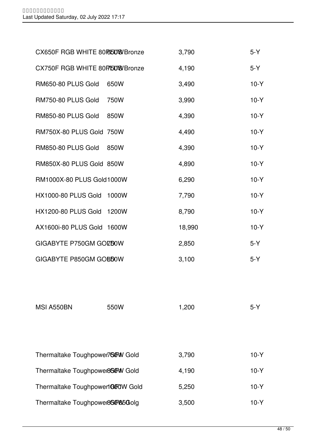| CX650F RGB WHITE 80F65099 Bronze |      | 3,790  | $5-Y$  |
|----------------------------------|------|--------|--------|
| CX750F RGB WHITE 80F/508 Bronze  |      | 4,190  | $5-Y$  |
| RM650-80 PLUS Gold               | 650W | 3,490  | $10-Y$ |
| RM750-80 PLUS Gold               | 750W | 3,990  | $10-Y$ |
| RM850-80 PLUS Gold               | 850W | 4,390  | $10-Y$ |
| RM750X-80 PLUS Gold 750W         |      | 4,490  | $10-Y$ |
| RM850-80 PLUS Gold 850W          |      | 4,390  | $10-Y$ |
| RM850X-80 PLUS Gold 850W         |      | 4,890  | $10-Y$ |
| RM1000X-80 PLUS Gold1000W        |      | 6,290  | $10-Y$ |
| HX1000-80 PLUS Gold 1000W        |      | 7,790  | $10-Y$ |
| HX1200-80 PLUS Gold 1200W        |      | 8,790  | $10-Y$ |
| AX1600i-80 PLUS Gold 1600W       |      | 18,990 | $10-Y$ |
| GIGABYTE P750GM GOZDOW           |      | 2,850  | $5-Y$  |
| GIGABYTE P850GM GOBDOW           |      | 3,100  | $5-Y$  |
|                                  |      |        |        |

| MSI A550BN                        | 550W | 1,200 | $5-Y$  |
|-----------------------------------|------|-------|--------|
|                                   |      |       |        |
|                                   |      |       |        |
|                                   |      |       |        |
| Thermaltake Toughpower7600W Gold  |      | 3,790 | $10-Y$ |
| Thermaltake Toughpower8600W Gold  |      | 4,190 | $10-Y$ |
| Thermaltake Toughpower1GGOW Gold  |      | 5,250 | $10-Y$ |
| Thermaltake Toughpower860085060lg |      | 3,500 | $10-Y$ |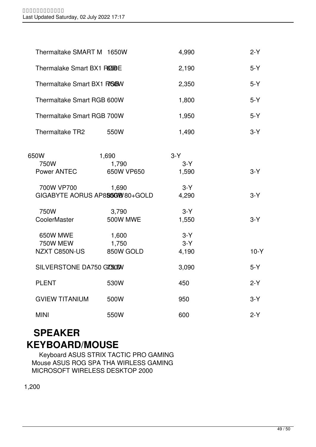| Thermaltake SMART M 1650W                    |                                        | 4,990                   | $2-Y$  |
|----------------------------------------------|----------------------------------------|-------------------------|--------|
| Thermalake Smart BX1 RGBBE                   |                                        | 2,190                   | $5-Y$  |
| Thermaltake Smart BX1 RGBW                   |                                        | 2,350                   | $5-Y$  |
| Thermaltake Smart RGB 600W                   |                                        | 1,800                   | $5-Y$  |
| Thermaltake Smart RGB 700W                   |                                        | 1,950                   | $5-Y$  |
| Thermaltake TR2                              | 550W                                   | 1,490                   | $3-Y$  |
| 650W                                         | 1,690                                  | $3-Y$                   |        |
| 750W                                         | 1,790                                  | $3-Y$                   |        |
| Power ANTEC                                  | 650W VP650                             | 1,590                   | $3-Y$  |
| 700W VP700                                   | 1,690<br>GIGABYTE AORUS AP885GW80+GOLD | $3-Y$<br>4,290          | $3-Y$  |
| 750W<br>CoolerMaster                         | 3,790<br><b>500W MWE</b>               | $3-Y$<br>1,550          | $3-Y$  |
| 650W MWE<br><b>750W MEW</b><br>NZXT C850N-US | 1,600<br>1,750<br>850W GOLD            | $3-Y$<br>$3-Y$<br>4,190 | $10-Y$ |
| SILVERSTONE DA750 GOOD                       |                                        | 3,090                   | $5-Y$  |
| <b>PLENT</b>                                 | 530W                                   | 450                     | $2-Y$  |
| <b>GVIEW TITANIUM</b>                        | 500W                                   | 950                     | $3-Y$  |
| <b>MINI</b>                                  | 550W                                   | 600                     | $2-Y$  |

## **SPEAKER KEYBOARD/MOUSE**

 Keyboard ASUS STRIX TACTIC PRO GAMING Mouse ASUS ROG SPA THA WIRLESS GAMING MICROSOFT WIRELESS DESKTOP 2000

1,200